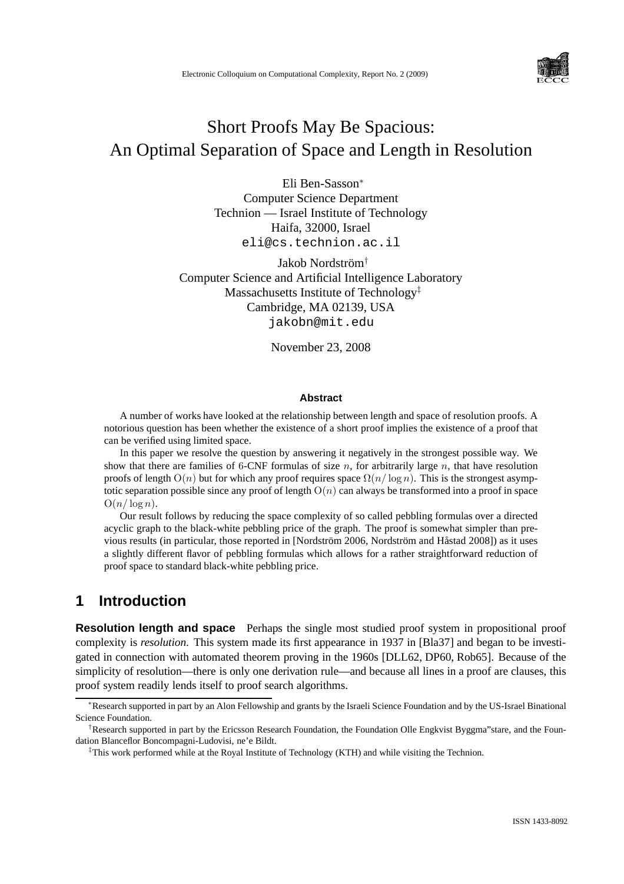

# Short Proofs May Be Spacious: An Optimal Separation of Space and Length in Resolution

Eli Ben-Sasson<sup>∗</sup> Computer Science Department Technion — Israel Institute of Technology Haifa, 32000, Israel eli@cs.technion.ac.il

Jakob Nordström $^{\dagger}$ Computer Science and Artificial Intelligence Laboratory Massachusetts Institute of Technology‡ Cambridge, MA 02139, USA jakobn@mit.edu

November 23, 2008

#### **Abstract**

A number of works have looked at the relationship between length and space of resolution proofs. A notorious question has been whether the existence of a short proof implies the existence of a proof that can be verified using limited space.

In this paper we resolve the question by answering it negatively in the strongest possible way. We show that there are families of 6-CNF formulas of size n, for arbitrarily large n, that have resolution proofs of length  $O(n)$  but for which any proof requires space  $\Omega(n/\log n)$ . This is the strongest asymptotic separation possible since any proof of length  $O(n)$  can always be transformed into a proof in space  $O(n/\log n)$ .

Our result follows by reducing the space complexity of so called pebbling formulas over a directed acyclic graph to the black-white pebbling price of the graph. The proof is somewhat simpler than previous results (in particular, those reported in [Nordström 2006, Nordström and Håstad 2008]) as it uses a slightly different flavor of pebbling formulas which allows for a rather straightforward reduction of proof space to standard black-white pebbling price.

## **1 Introduction**

**Resolution length and space** Perhaps the single most studied proof system in propositional proof complexity is *resolution*. This system made its first appearance in 1937 in [Bla37] and began to be investigated in connection with automated theorem proving in the 1960s [DLL62, DP60, Rob65]. Because of the simplicity of resolution—there is only one derivation rule—and because all lines in a proof are clauses, this proof system readily lends itself to proof search algorithms.

<sup>∗</sup>Research supported in part by an Alon Fellowship and grants by the Israeli Science Foundation and by the US-Israel Binational Science Foundation.

<sup>†</sup>Research supported in part by the Ericsson Research Foundation, the Foundation Olle Engkvist Byggma"stare, and the Foundation Blanceflor Boncompagni-Ludovisi, ne'e Bildt.

<sup>‡</sup>This work performed while at the Royal Institute of Technology (KTH) and while visiting the Technion.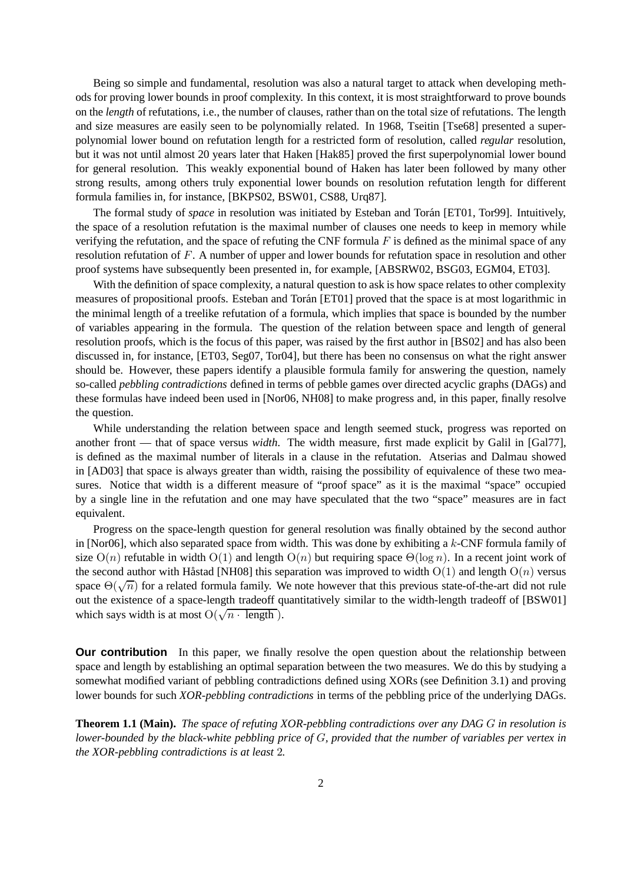Being so simple and fundamental, resolution was also a natural target to attack when developing methods for proving lower bounds in proof complexity. In this context, it is most straightforward to prove bounds on the *length* of refutations, i.e., the number of clauses, rather than on the total size of refutations. The length and size measures are easily seen to be polynomially related. In 1968, Tseitin [Tse68] presented a superpolynomial lower bound on refutation length for a restricted form of resolution, called *regular* resolution, but it was not until almost 20 years later that Haken [Hak85] proved the first superpolynomial lower bound for general resolution. This weakly exponential bound of Haken has later been followed by many other strong results, among others truly exponential lower bounds on resolution refutation length for different formula families in, for instance, [BKPS02, BSW01, CS88, Urq87].

The formal study of *space* in resolution was initiated by Esteban and Torán [ET01, Tor99]. Intuitively, the space of a resolution refutation is the maximal number of clauses one needs to keep in memory while verifying the refutation, and the space of refuting the CNF formula  $F$  is defined as the minimal space of any resolution refutation of F. A number of upper and lower bounds for refutation space in resolution and other proof systems have subsequently been presented in, for example, [ABSRW02, BSG03, EGM04, ET03].

With the definition of space complexity, a natural question to ask is how space relates to other complexity measures of propositional proofs. Esteban and Torán [ET01] proved that the space is at most logarithmic in the minimal length of a treelike refutation of a formula, which implies that space is bounded by the number of variables appearing in the formula. The question of the relation between space and length of general resolution proofs, which is the focus of this paper, was raised by the first author in [BS02] and has also been discussed in, for instance, [ET03, Seg07, Tor04], but there has been no consensus on what the right answer should be. However, these papers identify a plausible formula family for answering the question, namely so-called *pebbling contradictions* defined in terms of pebble games over directed acyclic graphs (DAGs) and these formulas have indeed been used in [Nor06, NH08] to make progress and, in this paper, finally resolve the question.

While understanding the relation between space and length seemed stuck, progress was reported on another front — that of space versus *width*. The width measure, first made explicit by Galil in [Gal77], is defined as the maximal number of literals in a clause in the refutation. Atserias and Dalmau showed in [AD03] that space is always greater than width, raising the possibility of equivalence of these two measures. Notice that width is a different measure of "proof space" as it is the maximal "space" occupied by a single line in the refutation and one may have speculated that the two "space" measures are in fact equivalent.

Progress on the space-length question for general resolution was finally obtained by the second author in [Nor06], which also separated space from width. This was done by exhibiting a  $k$ -CNF formula family of size  $O(n)$  refutable in width  $O(1)$  and length  $O(n)$  but requiring space  $\Theta(\log n)$ . In a recent joint work of the second author with Håstad [NH08] this separation was improved to width  $O(1)$  and length  $O(n)$  versus space  $\Theta(\sqrt{n})$  for a related formula family. We note however that this previous state-of-the-art did not rule out the existence of a space-length tradeoff quantitatively similar to the width-length tradeoff of [BSW01] which says width is at most  $O(\sqrt{n \cdot \text{length}})$ .

**Our contribution** In this paper, we finally resolve the open question about the relationship between space and length by establishing an optimal separation between the two measures. We do this by studying a somewhat modified variant of pebbling contradictions defined using XORs (see Definition 3.1) and proving lower bounds for such *XOR-pebbling contradictions* in terms of the pebbling price of the underlying DAGs.

**Theorem 1.1 (Main).** *The space of refuting XOR-pebbling contradictions over any DAG* G *in resolution is lower-bounded by the black-white pebbling price of* G*, provided that the number of variables per vertex in the XOR-pebbling contradictions is at least* 2*.*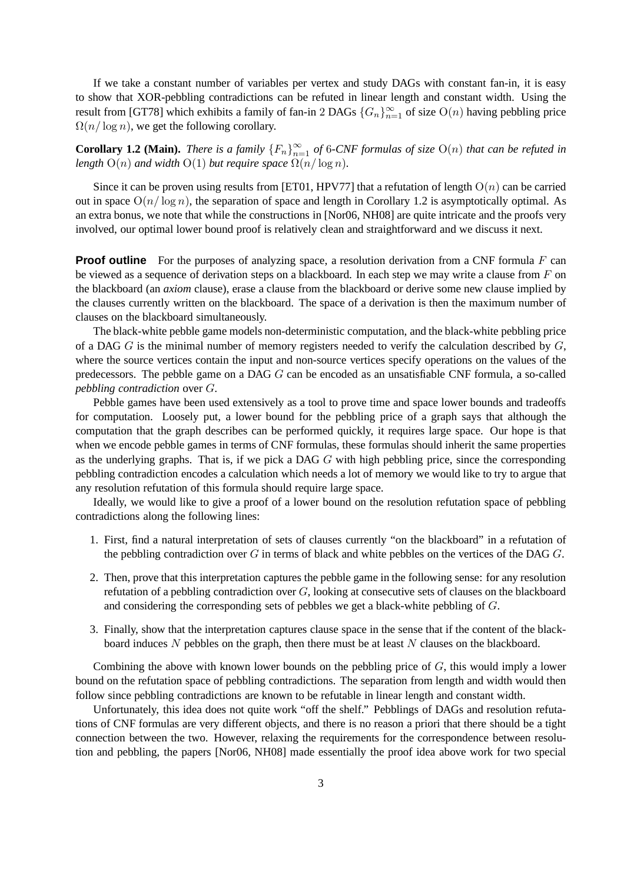If we take a constant number of variables per vertex and study DAGs with constant fan-in, it is easy to show that XOR-pebbling contradictions can be refuted in linear length and constant width. Using the result from [GT78] which exhibits a family of fan-in 2 DAGs  $\{G_n\}_{n=1}^{\infty}$  of size  $O(n)$  having pebbling price  $\Omega(n/\log n)$ , we get the following corollary.

**Corollary 1.2 (Main).** *There is a family*  ${F_n}_{n=1}^{\infty}$  *of* 6*-CNF formulas of size*  $O(n)$  *that can be refuted in length*  $O(n)$  *and width*  $O(1)$  *but require space*  $\Omega(n/\log n)$ *.* 

Since it can be proven using results from [ET01, HPV77] that a refutation of length  $O(n)$  can be carried out in space  $O(n/\log n)$ , the separation of space and length in Corollary 1.2 is asymptotically optimal. As an extra bonus, we note that while the constructions in [Nor06, NH08] are quite intricate and the proofs very involved, our optimal lower bound proof is relatively clean and straightforward and we discuss it next.

**Proof outline** For the purposes of analyzing space, a resolution derivation from a CNF formula F can be viewed as a sequence of derivation steps on a blackboard. In each step we may write a clause from  $F$  on the blackboard (an *axiom* clause), erase a clause from the blackboard or derive some new clause implied by the clauses currently written on the blackboard. The space of a derivation is then the maximum number of clauses on the blackboard simultaneously.

The black-white pebble game models non-deterministic computation, and the black-white pebbling price of a DAG  $G$  is the minimal number of memory registers needed to verify the calculation described by  $G$ , where the source vertices contain the input and non-source vertices specify operations on the values of the predecessors. The pebble game on a DAG G can be encoded as an unsatisfiable CNF formula, a so-called *pebbling contradiction* over G.

Pebble games have been used extensively as a tool to prove time and space lower bounds and tradeoffs for computation. Loosely put, a lower bound for the pebbling price of a graph says that although the computation that the graph describes can be performed quickly, it requires large space. Our hope is that when we encode pebble games in terms of CNF formulas, these formulas should inherit the same properties as the underlying graphs. That is, if we pick a DAG  $G$  with high pebbling price, since the corresponding pebbling contradiction encodes a calculation which needs a lot of memory we would like to try to argue that any resolution refutation of this formula should require large space.

Ideally, we would like to give a proof of a lower bound on the resolution refutation space of pebbling contradictions along the following lines:

- 1. First, find a natural interpretation of sets of clauses currently "on the blackboard" in a refutation of the pebbling contradiction over  $G$  in terms of black and white pebbles on the vertices of the DAG  $G$ .
- 2. Then, prove that this interpretation captures the pebble game in the following sense: for any resolution refutation of a pebbling contradiction over  $G$ , looking at consecutive sets of clauses on the blackboard and considering the corresponding sets of pebbles we get a black-white pebbling of G.
- 3. Finally, show that the interpretation captures clause space in the sense that if the content of the blackboard induces  $N$  pebbles on the graph, then there must be at least  $N$  clauses on the blackboard.

Combining the above with known lower bounds on the pebbling price of  $G$ , this would imply a lower bound on the refutation space of pebbling contradictions. The separation from length and width would then follow since pebbling contradictions are known to be refutable in linear length and constant width.

Unfortunately, this idea does not quite work "off the shelf." Pebblings of DAGs and resolution refutations of CNF formulas are very different objects, and there is no reason a priori that there should be a tight connection between the two. However, relaxing the requirements for the correspondence between resolution and pebbling, the papers [Nor06, NH08] made essentially the proof idea above work for two special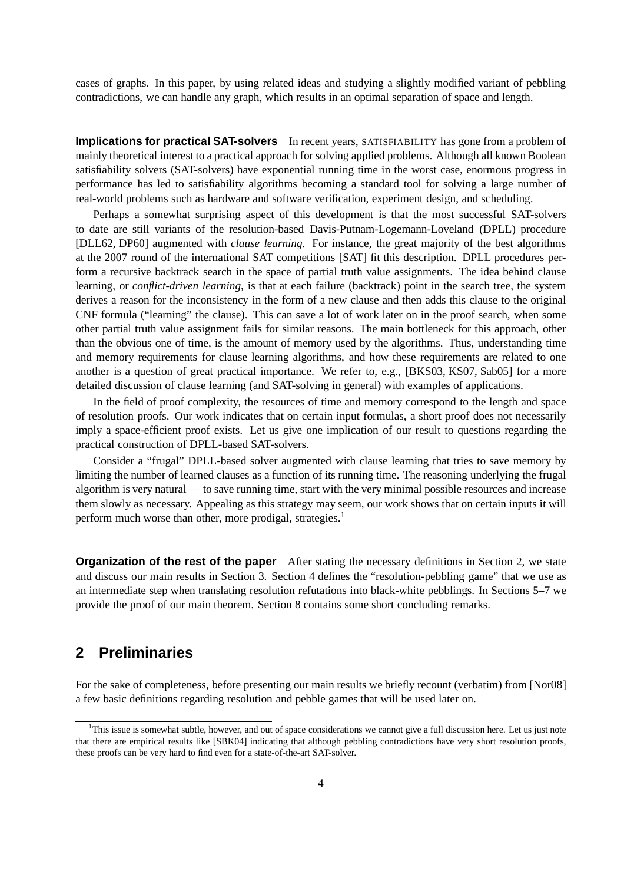cases of graphs. In this paper, by using related ideas and studying a slightly modified variant of pebbling contradictions, we can handle any graph, which results in an optimal separation of space and length.

**Implications for practical SAT-solvers** In recent years, SATISFIABILITY has gone from a problem of mainly theoretical interest to a practical approach for solving applied problems. Although all known Boolean satisfiability solvers (SAT-solvers) have exponential running time in the worst case, enormous progress in performance has led to satisfiability algorithms becoming a standard tool for solving a large number of real-world problems such as hardware and software verification, experiment design, and scheduling.

Perhaps a somewhat surprising aspect of this development is that the most successful SAT-solvers to date are still variants of the resolution-based Davis-Putnam-Logemann-Loveland (DPLL) procedure [DLL62, DP60] augmented with *clause learning*. For instance, the great majority of the best algorithms at the 2007 round of the international SAT competitions [SAT] fit this description. DPLL procedures perform a recursive backtrack search in the space of partial truth value assignments. The idea behind clause learning, or *conflict-driven learning*, is that at each failure (backtrack) point in the search tree, the system derives a reason for the inconsistency in the form of a new clause and then adds this clause to the original CNF formula ("learning" the clause). This can save a lot of work later on in the proof search, when some other partial truth value assignment fails for similar reasons. The main bottleneck for this approach, other than the obvious one of time, is the amount of memory used by the algorithms. Thus, understanding time and memory requirements for clause learning algorithms, and how these requirements are related to one another is a question of great practical importance. We refer to, e.g., [BKS03, KS07, Sab05] for a more detailed discussion of clause learning (and SAT-solving in general) with examples of applications.

In the field of proof complexity, the resources of time and memory correspond to the length and space of resolution proofs. Our work indicates that on certain input formulas, a short proof does not necessarily imply a space-efficient proof exists. Let us give one implication of our result to questions regarding the practical construction of DPLL-based SAT-solvers.

Consider a "frugal" DPLL-based solver augmented with clause learning that tries to save memory by limiting the number of learned clauses as a function of its running time. The reasoning underlying the frugal algorithm is very natural — to save running time, start with the very minimal possible resources and increase them slowly as necessary. Appealing as this strategy may seem, our work shows that on certain inputs it will perform much worse than other, more prodigal, strategies.<sup>1</sup>

**Organization of the rest of the paper** After stating the necessary definitions in Section 2, we state and discuss our main results in Section 3. Section 4 defines the "resolution-pebbling game" that we use as an intermediate step when translating resolution refutations into black-white pebblings. In Sections 5–7 we provide the proof of our main theorem. Section 8 contains some short concluding remarks.

## **2 Preliminaries**

For the sake of completeness, before presenting our main results we briefly recount (verbatim) from [Nor08] a few basic definitions regarding resolution and pebble games that will be used later on.

<sup>&</sup>lt;sup>1</sup>This issue is somewhat subtle, however, and out of space considerations we cannot give a full discussion here. Let us just note that there are empirical results like [SBK04] indicating that although pebbling contradictions have very short resolution proofs, these proofs can be very hard to find even for a state-of-the-art SAT-solver.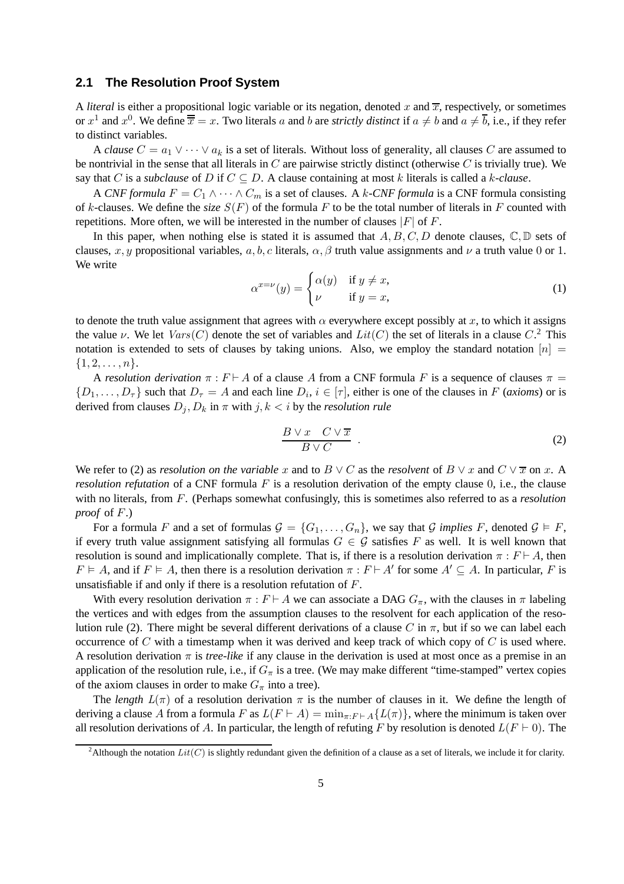#### **2.1 The Resolution Proof System**

A *literal* is either a propositional logic variable or its negation, denoted x and  $\overline{x}$ , respectively, or sometimes or  $x^1$  and  $x^0$ . We define  $\overline{\overline{x}} = x$ . Two literals a and b are *strictly distinct* if  $a \neq b$  and  $a \neq \overline{b}$ , i.e., if they refer to distinct variables.

A *clause*  $C = a_1 \vee \cdots \vee a_k$  is a set of literals. Without loss of generality, all clauses C are assumed to be nontrivial in the sense that all literals in C are pairwise strictly distinct (otherwise C is trivially true). We say that C is a *subclause* of D if  $C \subseteq D$ . A clause containing at most k literals is called a k-clause.

A *CNF formula*  $F = C_1 \wedge \cdots \wedge C_m$  is a set of clauses. A k-*CNF formula* is a CNF formula consisting of k-clauses. We define the *size*  $S(F)$  of the formula F to be the total number of literals in F counted with repetitions. More often, we will be interested in the number of clauses  $|F|$  of F.

In this paper, when nothing else is stated it is assumed that  $A, B, C, D$  denote clauses,  $\mathbb{C}, \mathbb{D}$  sets of clauses, x, y propositional variables, a, b, c literals,  $\alpha$ ,  $\beta$  truth value assignments and  $\nu$  a truth value 0 or 1. We write

$$
\alpha^{x=\nu}(y) = \begin{cases} \alpha(y) & \text{if } y \neq x, \\ \nu & \text{if } y = x, \end{cases}
$$
 (1)

to denote the truth value assignment that agrees with  $\alpha$  everywhere except possibly at x, to which it assigns the value v. We let  $Vars(C)$  denote the set of variables and  $Lit(C)$  the set of literals in a clause  $C<sup>2</sup>$ . This notation is extended to sets of clauses by taking unions. Also, we employ the standard notation  $[n]$  =  $\{1, 2, \ldots, n\}.$ 

A *resolution derivation*  $\pi$ :  $F \vdash A$  of a clause A from a CNF formula F is a sequence of clauses  $\pi$  $\{D_1,\ldots,D_{\tau}\}\$  such that  $D_{\tau}=A$  and each line  $D_i, i \in [\tau]$ , either is one of the clauses in F (*axioms*) or is derived from clauses  $D_j, D_k$  in  $\pi$  with  $j, k < i$  by the *resolution rule* 

$$
\frac{B \vee x \quad C \vee \overline{x}}{B \vee C} \tag{2}
$$

We refer to (2) as *resolution on the variable* x and to  $B \vee C$  as the *resolvent* of  $B \vee x$  and  $C \vee \overline{x}$  on x. A *resolution refutation* of a CNF formula  $F$  is a resolution derivation of the empty clause  $0$ , i.e., the clause with no literals, from F. (Perhaps somewhat confusingly, this is sometimes also referred to as a *resolution proof* of F.)

For a formula F and a set of formulas  $\mathcal{G} = \{G_1, \ldots, G_n\}$ , we say that G *implies* F, denoted  $\mathcal{G} \models F$ , if every truth value assignment satisfying all formulas  $G \in \mathcal{G}$  satisfies F as well. It is well known that resolution is sound and implicationally complete. That is, if there is a resolution derivation  $\pi : F \vdash A$ , then  $F \vDash A$ , and if  $F \vDash A$ , then there is a resolution derivation  $\pi : F \vDash A'$  for some  $A' \subseteq A$ . In particular, F is unsatisfiable if and only if there is a resolution refutation of F.

With every resolution derivation  $\pi : F \vdash A$  we can associate a DAG  $G_{\pi}$ , with the clauses in  $\pi$  labeling the vertices and with edges from the assumption clauses to the resolvent for each application of the resolution rule (2). There might be several different derivations of a clause C in  $\pi$ , but if so we can label each occurrence of C with a timestamp when it was derived and keep track of which copy of C is used where. A resolution derivation  $\pi$  is *tree-like* if any clause in the derivation is used at most once as a premise in an application of the resolution rule, i.e., if  $G_\pi$  is a tree. (We may make different "time-stamped" vertex copies of the axiom clauses in order to make  $G_{\pi}$  into a tree).

The *length*  $L(\pi)$  of a resolution derivation  $\pi$  is the number of clauses in it. We define the length of deriving a clause A from a formula F as  $L(F \vdash A) = \min_{\pi: F \vdash A} \{L(\pi)\}\)$ , where the minimum is taken over all resolution derivations of A. In particular, the length of refuting F by resolution is denoted  $L(F \vdash 0)$ . The

<sup>&</sup>lt;sup>2</sup>Although the notation  $Lit(C)$  is slightly redundant given the definition of a clause as a set of literals, we include it for clarity.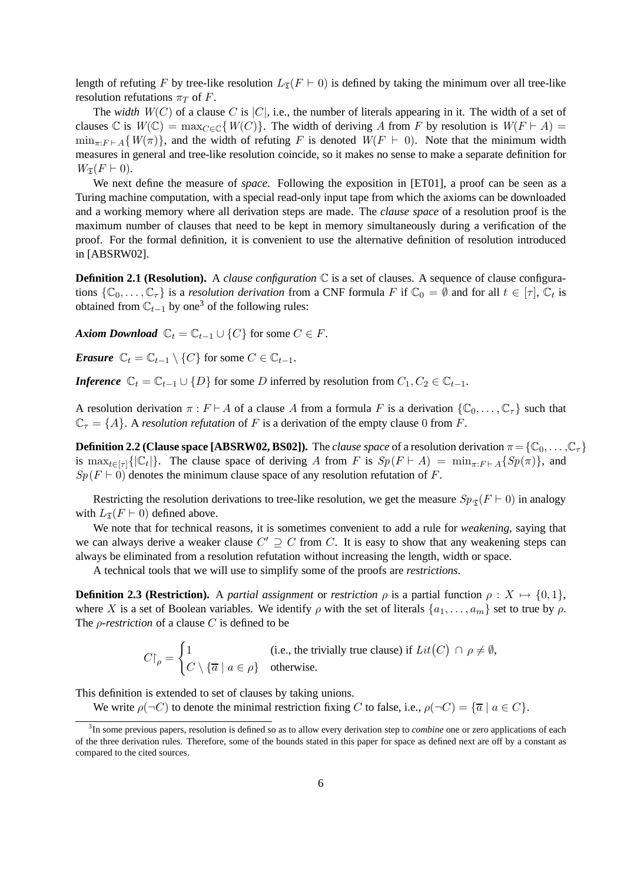length of refuting F by tree-like resolution  $L_{\mathfrak{T}}(F \vdash 0)$  is defined by taking the minimum over all tree-like resolution refutations  $\pi_T$  of F.

The *width*  $W(C)$  of a clause C is  $|C|$ , i.e., the number of literals appearing in it. The width of a set of clauses C is  $W(\mathbb{C}) = \max_{C \in \mathbb{C}} \{W(C)\}\$ . The width of deriving A from F by resolution is  $W(F \vdash A) =$  $\min_{\pi: F \vdash A} \{W(\pi)\}\$ , and the width of refuting F is denoted  $W(F \vdash 0)$ . Note that the minimum width measures in general and tree-like resolution coincide, so it makes no sense to make a separate definition for  $W_{\mathfrak{T}}(F \vdash 0).$ 

We next define the measure of *space*. Following the exposition in [ET01], a proof can be seen as a Turing machine computation, with a special read-only input tape from which the axioms can be downloaded and a working memory where all derivation steps are made. The *clause space* of a resolution proof is the maximum number of clauses that need to be kept in memory simultaneously during a verification of the proof. For the formal definition, it is convenient to use the alternative definition of resolution introduced in [ABSRW02].

**Definition 2.1 (Resolution).** A *clause configuration* C is a set of clauses. A sequence of clause configurations  $\{\mathbb{C}_0,\ldots,\mathbb{C}_{\tau}\}\$  is a *resolution derivation* from a CNF formula F if  $\mathbb{C}_0=\emptyset$  and for all  $t \in [\tau]$ ,  $\mathbb{C}_t$  is obtained from  $\mathbb{C}_{t-1}$  by one<sup>3</sup> of the following rules:

*Axiom Download*  $\mathbb{C}_t = \mathbb{C}_{t-1} \cup \{C\}$  for some  $C \in F$ .

*Erasure*  $\mathbb{C}_t = \mathbb{C}_{t-1} \setminus \{C\}$  for some  $C \in \mathbb{C}_{t-1}$ .

*Inference*  $\mathbb{C}_t = \mathbb{C}_{t-1} \cup \{D\}$  for some D inferred by resolution from  $C_1, C_2 \in \mathbb{C}_{t-1}$ .

A resolution derivation  $\pi : F \vdash A$  of a clause A from a formula F is a derivation  $\{ \mathbb{C}_0, \ldots, \mathbb{C}_T \}$  such that  $\mathbb{C}_{\tau} = \{A\}$ . A *resolution refutation* of F is a derivation of the empty clause 0 from F.

**Definition 2.2 (Clause space [ABSRW02, BS02]).** The *clause space* of a resolution derivation  $\pi = \{ \mathbb{C}_0, \ldots, \mathbb{C}_7 \}$ is  $\max_{t \in [\tau]} \{|\mathbb{C}_t|\}.$  The clause space of deriving A from F is  $Sp(F \vdash A) = \min_{\pi: F \vdash A} \{Sp(\pi)\}.$  and  $Sp(F \vdash 0)$  denotes the minimum clause space of any resolution refutation of F.

Restricting the resolution derivations to tree-like resolution, we get the measure  $Sp_{\mathfrak{T}}(F \vdash 0)$  in analogy with  $L_{\mathfrak{T}}(F \vdash 0)$  defined above.

We note that for technical reasons, it is sometimes convenient to add a rule for *weakening*, saying that we can always derive a weaker clause  $C' \supseteq C$  from C. It is easy to show that any weakening steps can always be eliminated from a resolution refutation without increasing the length, width or space.

A technical tools that we will use to simplify some of the proofs are *restrictions*.

**Definition 2.3 (Restriction).** A *partial assignment* or *restriction*  $\rho$  is a partial function  $\rho : X \mapsto \{0, 1\}$ , where X is a set of Boolean variables. We identify  $\rho$  with the set of literals  $\{a_1, \ldots, a_m\}$  set to true by  $\rho$ . The  $\rho$ -restriction of a clause C is defined to be

$$
C\upharpoonright_{\rho} = \begin{cases} 1 & \text{(i.e., the trivially true clause) if } \operatorname{Lit}(C) \cap \rho \neq \emptyset, \\ C \setminus \{\overline{a} \mid a \in \rho\} & \text{otherwise.} \end{cases}
$$

This definition is extended to set of clauses by taking unions.

We write  $\rho(\neg C)$  to denote the minimal restriction fixing C to false, i.e.,  $\rho(\neg C) = {\overline{a} \mid a \in C}$ .

<sup>3</sup> In some previous papers, resolution is defined so as to allow every derivation step to *combine* one or zero applications of each of the three derivation rules. Therefore, some of the bounds stated in this paper for space as defined next are off by a constant as compared to the cited sources.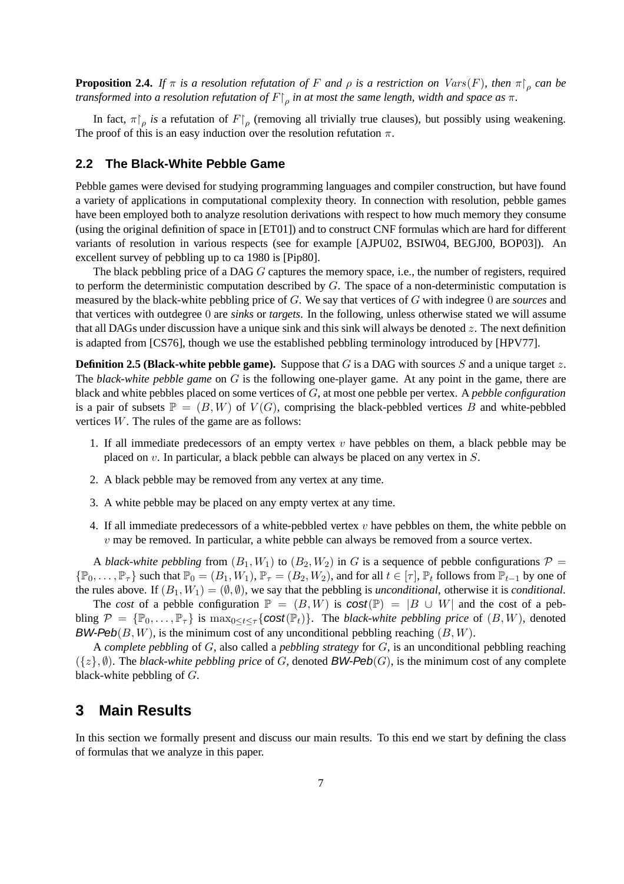**Proposition 2.4.** If  $\pi$  is a resolution refutation of F and  $\rho$  is a restriction on  $Vars(F)$ , then  $\pi \upharpoonright_{\rho}$  can be *transformed into a resolution refutation of*  $F\vert_{\rho}$  *in at most the same length, width and space as*  $\pi$ *.* 

In fact,  $\pi|_{\rho}$  is a refutation of  $F|_{\rho}$  (removing all trivially true clauses), but possibly using weakening. The proof of this is an easy induction over the resolution refutation  $\pi$ .

#### **2.2 The Black-White Pebble Game**

Pebble games were devised for studying programming languages and compiler construction, but have found a variety of applications in computational complexity theory. In connection with resolution, pebble games have been employed both to analyze resolution derivations with respect to how much memory they consume (using the original definition of space in [ET01]) and to construct CNF formulas which are hard for different variants of resolution in various respects (see for example [AJPU02, BSIW04, BEGJ00, BOP03]). An excellent survey of pebbling up to ca 1980 is [Pip80].

The black pebbling price of a DAG G captures the memory space, i.e., the number of registers, required to perform the deterministic computation described by  $G$ . The space of a non-deterministic computation is measured by the black-white pebbling price of G. We say that vertices of G with indegree 0 are *sources* and that vertices with outdegree 0 are *sinks* or *targets*. In the following, unless otherwise stated we will assume that all DAGs under discussion have a unique sink and this sink will always be denoted  $z$ . The next definition is adapted from [CS76], though we use the established pebbling terminology introduced by [HPV77].

**Definition 2.5 (Black-white pebble game).** Suppose that G is a DAG with sources S and a unique target z. The *black-white pebble game* on G is the following one-player game. At any point in the game, there are black and white pebbles placed on some vertices of G, at most one pebble per vertex. A *pebble configuration* is a pair of subsets  $\mathbb{P} = (B, W)$  of  $V(G)$ , comprising the black-pebbled vertices B and white-pebbled vertices  $W$ . The rules of the game are as follows:

- 1. If all immediate predecessors of an empty vertex  $v$  have pebbles on them, a black pebble may be placed on v. In particular, a black pebble can always be placed on any vertex in S.
- 2. A black pebble may be removed from any vertex at any time.
- 3. A white pebble may be placed on any empty vertex at any time.
- 4. If all immediate predecessors of a white-pebbled vertex  $v$  have pebbles on them, the white pebble on  $v$  may be removed. In particular, a white pebble can always be removed from a source vertex.

A *black-white pebbling* from  $(B_1, W_1)$  to  $(B_2, W_2)$  in G is a sequence of pebble configurations  $\mathcal{P} =$  $\{\mathbb{P}_0,\ldots,\mathbb{P}_{\tau}\}\$  such that  $\mathbb{P}_0 = (B_1, W_1), \mathbb{P}_{\tau} = (B_2, W_2)$ , and for all  $t \in [\tau]$ ,  $\mathbb{P}_t$  follows from  $\mathbb{P}_{t-1}$  by one of the rules above. If  $(B_1, W_1) = (\emptyset, \emptyset)$ , we say that the pebbling is *unconditional*, otherwise it is *conditional*.

The *cost* of a pebble configuration  $\mathbb{P} = (B, W)$  is  $\text{cost}(\mathbb{P}) = |B \cup W|$  and the cost of a pebbling  $\mathcal{P} = \{\mathbb{P}_0, \ldots, \mathbb{P}_{\tau}\}\$ is  $\max_{0 \leq t \leq \tau} \{\text{cost}(\mathbb{P}_t)\}\$ . The *black-white pebbling price* of  $(B, W)$ , denoted  $BW\text{-}Peb(B, W)$ , is the minimum cost of any unconditional pebbling reaching  $(B, W)$ .

A *complete pebbling* of G, also called a *pebbling strategy* for G, is an unconditional pebbling reaching  $({z}, \emptyset)$ . The *black-white pebbling price* of G, denoted **BW-Peb**(G), is the minimum cost of any complete black-white pebbling of G.

#### **3 Main Results**

In this section we formally present and discuss our main results. To this end we start by defining the class of formulas that we analyze in this paper.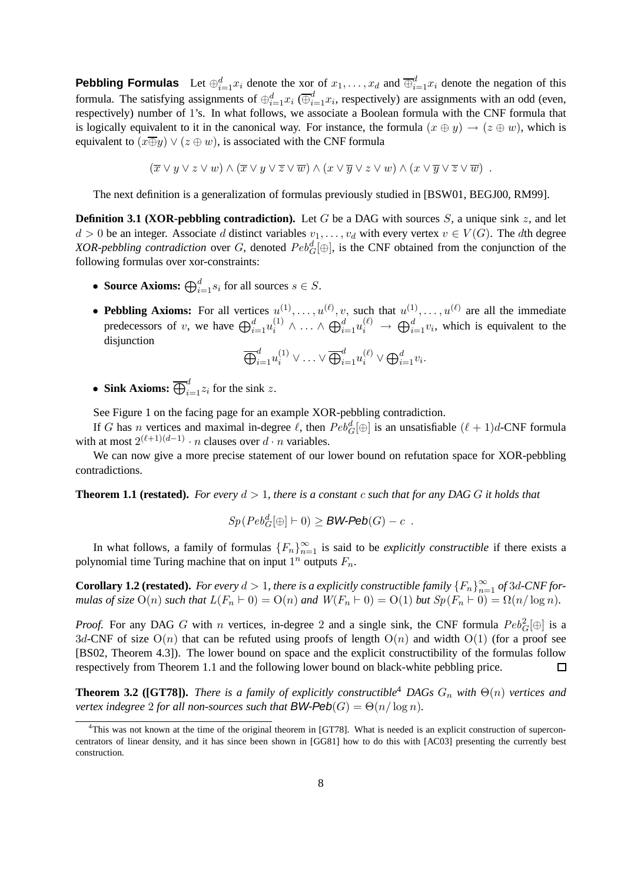**Pebbling Formulas** Let  $\bigoplus_{i=1}^{d} x_i$  denote the xor of  $x_1, \ldots, x_d$  and  $\overline{\bigoplus}_{i=1}^{d} x_i$  denote the negation of this formula. The satisfying assignments of  $\bigoplus_{i=1}^d x_i$ ,  $\bigoplus_{i=1}^d x_i$ , respectively) are assignments with an odd (even, respectively) number of 1's. In what follows, we associate a Boolean formula with the CNF formula that is logically equivalent to it in the canonical way. For instance, the formula  $(x \oplus y) \rightarrow (z \oplus w)$ , which is equivalent to  $(x\overline{\oplus}y) \vee (z\oplus w)$ , is associated with the CNF formula

$$
(\overline{x} \vee y \vee z \vee w) \wedge (\overline{x} \vee y \vee \overline{z} \vee \overline{w}) \wedge (x \vee \overline{y} \vee z \vee w) \wedge (x \vee \overline{y} \vee \overline{z} \vee \overline{w}) .
$$

The next definition is a generalization of formulas previously studied in [BSW01, BEGJ00, RM99].

**Definition 3.1 (XOR-pebbling contradiction).** Let G be a DAG with sources  $S$ , a unique sink  $z$ , and let  $d > 0$  be an integer. Associate d distinct variables  $v_1, \ldots, v_d$  with every vertex  $v \in V(G)$ . The dth degree *XOR-pebbling contradiction* over G, denoted  $Peb_G^d[\oplus]$ , is the CNF obtained from the conjunction of the following formulas over xor-constraints:

- **Source Axioms:**  $\bigoplus_{i=1}^{d} s_i$  for all sources  $s \in S$ .
- **Pebbling Axioms:** For all vertices  $u^{(1)}, \ldots, u^{(\ell)}, v$ , such that  $u^{(1)}, \ldots, u^{(\ell)}$  are all the immediate predecessors of v, we have  $\bigoplus_{i=1}^d u_i^{(1)} \wedge \ldots \wedge \bigoplus_{i=1}^d u_i^{(\ell)} \to \bigoplus_{i=1}^d v_i$ , which is equivalent to the disjunction

$$
\overline{\bigoplus}_{i=1}^d u_i^{(1)} \vee \ldots \vee \overline{\bigoplus}_{i=1}^d u_i^{(\ell)} \vee \bigoplus_{i=1}^d v_i.
$$

• **Sink Axioms:**  $\overline{\bigoplus}_{i=1}^{d} z_i$  for the sink z.

See Figure 1 on the facing page for an example XOR-pebbling contradiction.

If G has n vertices and maximal in-degree  $\ell$ , then  $Peb_G^d[\oplus]$  is an unsatisfiable  $(\ell + 1)d$ -CNF formula with at most  $2^{(\ell+1)(d-1)} \cdot n$  clauses over  $d \cdot n$  variables.

We can now give a more precise statement of our lower bound on refutation space for XOR-pebbling contradictions.

**Theorem 1.1 (restated).** For every  $d > 1$ , there is a constant c such that for any DAG G it holds that

$$
Sp(Peb_G^d[\oplus] \vdash 0) \geq \mathit{BW-Peb}(G) - c \enspace .
$$

In what follows, a family of formulas  ${F_n}_{n=1}^{\infty}$  is said to be *explicitly constructible* if there exists a polynomial time Turing machine that on input  $1^n$  outputs  $F_n$ .

**Corollary 1.2 (restated).** For every  $d > 1$ , there is a explicitly constructible family  ${F_n}_{n=1}^{\infty}$  of 3d-CNF for*mulas of size*  $O(n)$  *such that*  $L(F_n \vdash 0) = O(n)$  *and*  $W(F_n \vdash 0) = O(1)$  *but*  $Sp(F_n \vdash 0) = \Omega(n/\log n)$ *.* 

*Proof.* For any DAG G with n vertices, in-degree 2 and a single sink, the CNF formula  $Peb_G^2[\oplus]$  is a 3d-CNF of size  $O(n)$  that can be refuted using proofs of length  $O(n)$  and width  $O(1)$  (for a proof see [BS02, Theorem 4.3]). The lower bound on space and the explicit constructibility of the formulas follow respectively from Theorem 1.1 and the following lower bound on black-white pebbling price. 口

**Theorem 3.2 ([GT78]).** *There is a family of explicitly constructible*<sup>4</sup> *DAGs*  $G_n$  *with*  $\Theta(n)$  *vertices and vertex indegree* 2 *for all non-sources such that*  $BW-Peb(G) = \Theta(n/\log n)$ *.* 

<sup>&</sup>lt;sup>4</sup>This was not known at the time of the original theorem in [GT78]. What is needed is an explicit construction of superconcentrators of linear density, and it has since been shown in [GG81] how to do this with [AC03] presenting the currently best construction.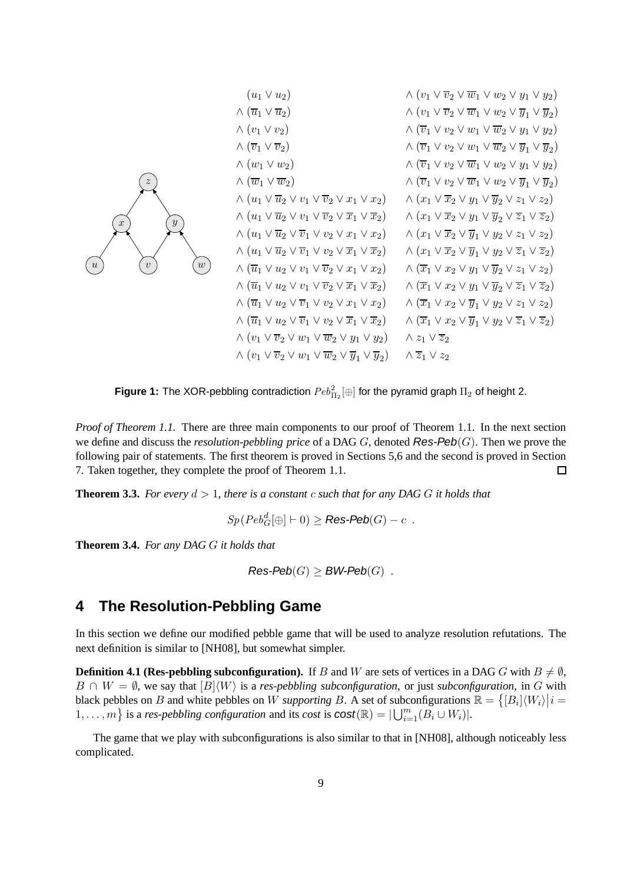

**Figure 1:** The XOR-pebbling contradiction  $Peb_{\Pi_2}^2[\oplus]$  for the pyramid graph  $\Pi_2$  of height 2.

*Proof of Theorem 1.1.* There are three main components to our proof of Theorem 1.1. In the next section we define and discuss the *resolution-pebbling price* of a DAG G, denoted Res-Peb(G). Then we prove the following pair of statements. The first theorem is proved in Sections 5,6 and the second is proved in Section 7. Taken together, they complete the proof of Theorem 1.1.  $\Box$ 

**Theorem 3.3.** For every  $d > 1$ , there is a constant c such that for any DAG G it holds that

 $Sp(Peb^d_G[\oplus] \vdash 0) \geq \textit{Res-Peb}(G) - c$ .

**Theorem 3.4.** *For any DAG* G *it holds that*

 $Res\text{-}Peb(G) > BW\text{-}Peb(G)$ .

### **4 The Resolution-Pebbling Game**

In this section we define our modified pebble game that will be used to analyze resolution refutations. The next definition is similar to [NH08], but somewhat simpler.

**Definition 4.1 (Res-pebbling subconfiguration).** If B and W are sets of vertices in a DAG G with  $B \neq \emptyset$ ,  $B \cap W = \emptyset$ , we say that  $B|\langle W \rangle$  is a *res-pebbling subconfiguration*, or just *subconfiguration*, in G with black pebbles on B and white pebbles on W *supporting* B. A set of subconfigurations  $\mathbb{R} = \left\{ [B_i](W_i) \middle| i = \right\}$ 1, ..., m} is a *res-pebbling configuration* and its *cost* is  $\text{cost}(\mathbb{R}) = |\bigcup_{i=1}^{m} (B_i \cup W_i)|$ .

The game that we play with subconfigurations is also similar to that in [NH08], although noticeably less complicated.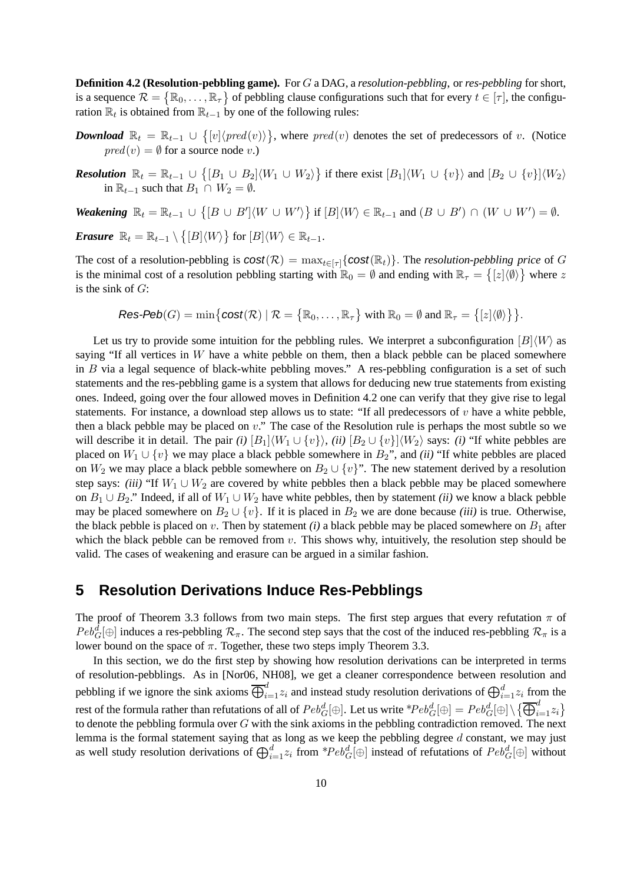**Definition 4.2 (Resolution-pebbling game).** For G a DAG, a *resolution-pebbling*, or *res-pebbling* for short, is a sequence  $\mathcal{R} = \{ \mathbb{R}_0, \dots, \mathbb{R}_{\tau} \}$  of pebbling clause configurations such that for every  $t \in [\tau]$ , the configuration  $\mathbb{R}_t$  is obtained from  $\mathbb{R}_{t-1}$  by one of the following rules:

- *Download*  $\mathbb{R}_t = \mathbb{R}_{t-1}$  ∪  $\{[v]\langle pred(v)\rangle\}$ , where  $pred(v)$  denotes the set of predecessors of v. (Notice  $pred(v) = \emptyset$  for a source node v.)
- *Resolution*  $\mathbb{R}_t = \mathbb{R}_{t-1} \cup \{ [B_1 \cup B_2] \langle W_1 \cup W_2 \rangle \}$  if there exist  $[B_1] \langle W_1 \cup \{v\} \rangle$  and  $[B_2 \cup \{v\}] \langle W_2 \rangle$ in  $\mathbb{R}_{t-1}$  such that  $B_1 \cap W_2 = \emptyset$ .

*Weakening*  $\mathbb{R}_t = \mathbb{R}_{t-1} \cup \{ [B \cup B'] \langle W \cup W' \rangle \}$  if  $[B] \langle W \rangle \in \mathbb{R}_{t-1}$  and  $(B \cup B') \cap (W \cup W') = \emptyset$ .

*Erasure*  $\mathbb{R}_t = \mathbb{R}_{t-1} \setminus \{(B | \langle W \rangle \} \text{ for } [B] \langle W \rangle \in \mathbb{R}_{t-1}.$ 

The cost of a resolution-pebbling is  $cost(\mathcal{R}) = \max_{t \in [\tau]} \{ cost(\mathbb{R}_t) \}$ . The *resolution-pebbling price* of G is the minimal cost of a resolution pebbling starting with  $\mathbb{R}_0 = \emptyset$  and ending with  $\mathbb{R}_\tau = \{|z| \langle \emptyset \rangle\}$  where z is the sink of  $G$ :

 $\mathsf{Res}\text{-}\mathsf{Peb}(G) = \min \big\{ \mathsf{cost}(\mathcal{R}) \mid \mathcal{R} = \big\{ \mathbb{R}_0, \ldots, \mathbb{R}_\tau \big\} \text{ with } \mathbb{R}_0 = \emptyset \text{ and } \mathbb{R}_\tau = \big\{ [z] \langle \emptyset \rangle \big\} \big\}.$ 

Let us try to provide some intuition for the pebbling rules. We interpret a subconfiguration  $[B]\langle W\rangle$  as saying "If all vertices in  $W$  have a white pebble on them, then a black pebble can be placed somewhere in B via a legal sequence of black-white pebbling moves." A res-pebbling configuration is a set of such statements and the res-pebbling game is a system that allows for deducing new true statements from existing ones. Indeed, going over the four allowed moves in Definition 4.2 one can verify that they give rise to legal statements. For instance, a download step allows us to state: "If all predecessors of  $v$  have a white pebble, then a black pebble may be placed on  $v$ ." The case of the Resolution rule is perhaps the most subtle so we will describe it in detail. The pair *(i)*  $B_1|\langle W_1 \cup \{v\}\rangle$ , *(ii)*  $B_2 \cup \{v\}|\langle W_2 \rangle$  says: *(i)* "If white pebbles are placed on  $W_1 \cup \{v\}$  we may place a black pebble somewhere in  $B_2$ ", and *(ii)* "If white pebbles are placed on  $W_2$  we may place a black pebble somewhere on  $B_2 \cup \{v\}$ ". The new statement derived by a resolution step says: *(iii)* "If  $W_1 \cup W_2$  are covered by white pebbles then a black pebble may be placed somewhere on  $B_1 \cup B_2$ ." Indeed, if all of  $W_1 \cup W_2$  have white pebbles, then by statement *(ii)* we know a black pebble may be placed somewhere on  $B_2 \cup \{v\}$ . If it is placed in  $B_2$  we are done because *(iii)* is true. Otherwise, the black pebble is placed on v. Then by statement *(i)* a black pebble may be placed somewhere on  $B_1$  after which the black pebble can be removed from  $v$ . This shows why, intuitively, the resolution step should be valid. The cases of weakening and erasure can be argued in a similar fashion.

#### **5 Resolution Derivations Induce Res-Pebblings**

The proof of Theorem 3.3 follows from two main steps. The first step argues that every refutation  $\pi$  of  $Peb_G^d[\oplus]$  induces a res-pebbling  $\mathcal{R}_{\pi}$ . The second step says that the cost of the induced res-pebbling  $\mathcal{R}_{\pi}$  is a lower bound on the space of  $\pi$ . Together, these two steps imply Theorem 3.3.

In this section, we do the first step by showing how resolution derivations can be interpreted in terms of resolution-pebblings. As in [Nor06, NH08], we get a cleaner correspondence between resolution and pebbling if we ignore the sink axioms  $\overline{\bigoplus}_{i=1}^d z_i$  and instead study resolution derivations of  $\bigoplus_{i=1}^d z_i$  from the rest of the formula rather than refutations of all of  $Peb_G^d[\oplus]$ . Let us write  $^*Peb_G^d[\oplus] = Peb_G^d[\oplus]\setminus\big\{\overline{\bigoplus}_{i=1}^d z_i\big\}$ to denote the pebbling formula over G with the sink axioms in the pebbling contradiction removed. The next lemma is the formal statement saying that as long as we keep the pebbling degree d constant, we may just as well study resolution derivations of  $\bigoplus_{i=1}^d z_i$  from  $^*Peb_G^d[\oplus]$  instead of refutations of  $Peb_G^d[\oplus]$  without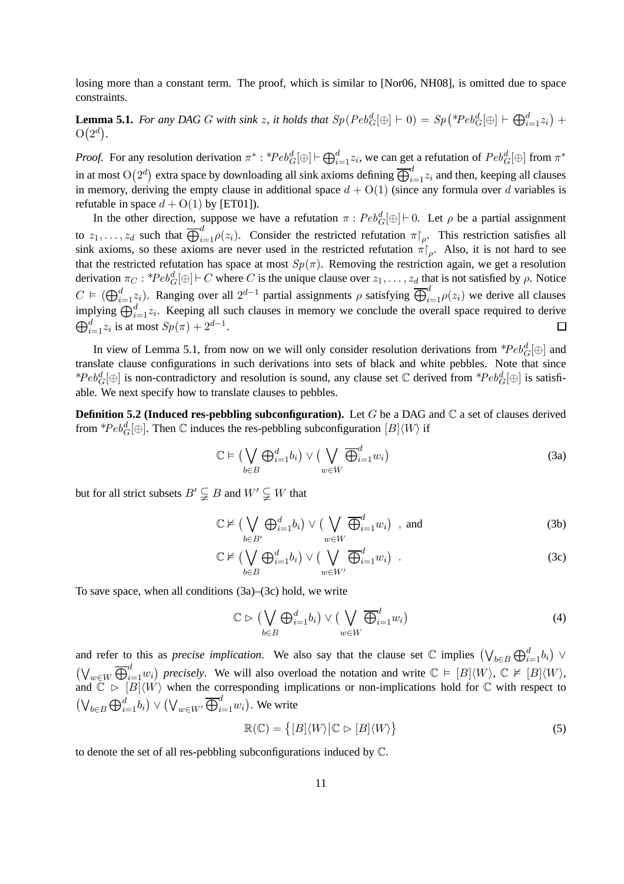losing more than a constant term. The proof, which is similar to [Nor06, NH08], is omitted due to space constraints.

**Lemma 5.1.** *For any DAG* G *with sink* z, it holds that  $Sp(Peb_G^d[\oplus] \vdash 0) = Sp({*}Peb_G^d[\oplus] \vdash \bigoplus_{i=1}^d z_i)$  +  $O(2^d)$ .

*Proof.* For any resolution derivation  $\pi^*$ :  $^*Peb_G^d[\oplus] \vdash \bigoplus_{i=1}^d z_i$ , we can get a refutation of  $Peb_G^d[\oplus]$  from  $\pi^*$ in at most  $\mathrm{O}(2^d)$  extra space by downloading all sink axioms defining  $\overline{\bigoplus}^d_{i=1}z_i$  and then, keeping all clauses in memory, deriving the empty clause in additional space  $d + O(1)$  (since any formula over d variables is refutable in space  $d + O(1)$  by [ET01]).

In the other direction, suppose we have a refutation  $\pi : Peb_G^d[\oplus] \vdash 0$ . Let  $\rho$  be a partial assignment to  $z_1, \ldots, z_d$  such that  $\overline{\bigoplus}_{i=1}^d \rho(z_i)$ . Consider the restricted refutation  $\pi|_\rho$ . This restriction satisfies all sink axioms, so these axioms are never used in the restricted refutation  $\pi|_{\rho}$ . Also, it is not hard to see that the restricted refutation has space at most  $Sp(\pi)$ . Removing the restriction again, we get a resolution derivation  $\pi_C : {^*P}eb_G^d[\oplus] \vdash C$  where C is the unique clause over  $z_1, \ldots, z_d$  that is not satisfied by  $\rho$ . Notice  $C \models (\bigoplus_{i=1}^d z_i)$ . Ranging over all  $2^{d-1}$  partial assignments  $\rho$  satisfying  $\overline{\bigoplus_{i=1}^d \rho(z_i)}$  we derive all clauses implying  $\bigoplus_{i=1}^d z_i$ . Keeping all such clauses in memory we conclude the overall space required to derive  $\bigoplus_{i=1}^d z_i$  is at most  $Sp(\pi)+2^{d-1}$ .  $\Box$ 

In view of Lemma 5.1, from now on we will only consider resolution derivations from  $*Peb_G^d[\oplus]$  and translate clause configurations in such derivations into sets of black and white pebbles. Note that since  $*Peb_G^d[\oplus]$  is non-contradictory and resolution is sound, any clause set  $\mathbb C$  derived from  $*Peb_G^d[\oplus]$  is satisfiable. We next specify how to translate clauses to pebbles.

**Definition 5.2 (Induced res-pebbling subconfiguration).** Let G be a DAG and  $\mathbb{C}$  a set of clauses derived from  ${}^*Peb_G^d[\oplus]$ . Then  $\mathbb C$  induces the res-pebbling subconfiguration  $[B]\langle W\rangle$  if

$$
\mathbb{C} \models \left(\bigvee_{b \in B} \bigoplus_{i=1}^{d} b_i\right) \vee \left(\bigvee_{w \in W} \overline{\bigoplus}_{i=1}^{d} w_i\right)
$$
(3a)

but for all strict subsets  $B' \subsetneq B$  and  $W' \subsetneq W$  that

$$
\mathbb{C} \nvDash (\bigvee_{b \in B'} \bigoplus_{i=1}^{d} b_i) \vee (\bigvee_{w \in W} \overline{\bigoplus}_{i=1}^{d} w_i), \text{ and } (3b)
$$

$$
\mathbb{C} \nvDash (\bigvee_{b \in B} \bigoplus_{i=1}^{d} b_i) \vee (\bigvee_{w \in W'} \overline{\bigoplus}_{i=1}^{d} w_i).
$$
 (3c)

To save space, when all conditions (3a)–(3c) hold, we write

$$
\mathbb{C} \triangleright \big(\bigvee_{b \in B} \bigoplus_{i=1}^{d} b_i\big) \vee \big(\bigvee_{w \in W} \overline{\bigoplus}_{i=1}^{d} w_i\big) \tag{4}
$$

and refer to this as *precise implication*. We also say that the clause set  $\mathbb C$  implies  $(\bigvee_{b \in B} \bigoplus_{i=1}^d b_i)$   $\vee$  $(\bigvee_{w\in W}\overline{\bigoplus}_{i=1}^d w_i)$  precisely. We will also overload the notation and write  $\mathbb{C} \models [B]\langle W\rangle$ ,  $\mathbb{C} \not\models [B]\langle W\rangle$ , and  $\mathbb{C} \triangleright [B]\langle W\rangle$  when the corresponding implications or non-implications hold for  $\mathbb C$  with respect to  $(\bigvee_{b\in B}\bigoplus_{i=1}^d b_i)\vee(\bigvee_{w\in W'}\overline{\bigoplus}_{i=1}^d w_i)$ . We write

$$
\mathbb{R}(\mathbb{C}) = \left\{ [B] \langle W \rangle \middle| \mathbb{C} \triangleright [B] \langle W \rangle \right\} \tag{5}
$$

to denote the set of all res-pebbling subconfigurations induced by C.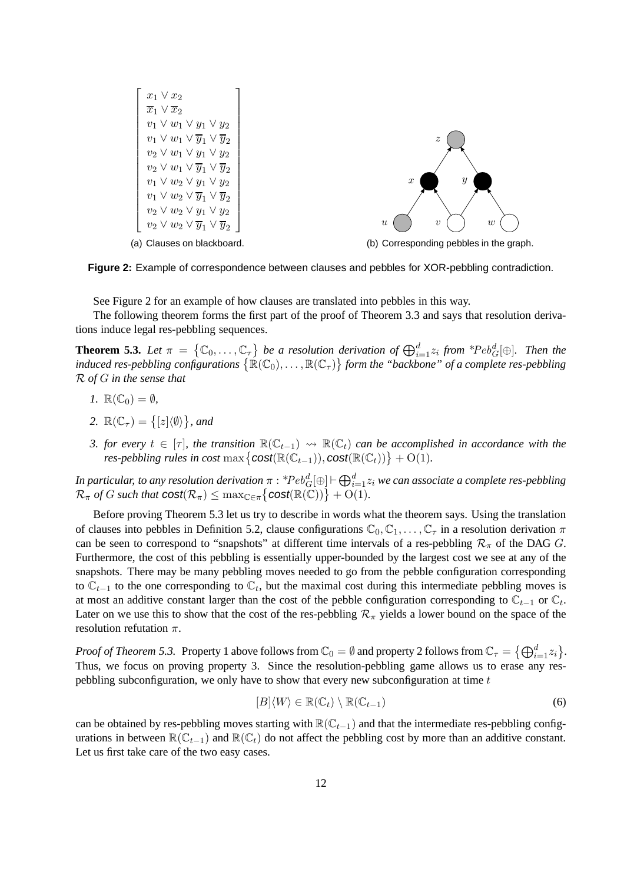

**Figure 2:** Example of correspondence between clauses and pebbles for XOR-pebbling contradiction.

See Figure 2 for an example of how clauses are translated into pebbles in this way.

The following theorem forms the first part of the proof of Theorem 3.3 and says that resolution derivations induce legal res-pebbling sequences.

**Theorem 5.3.** Let  $\pi = \{ \mathbb{C}_0, \ldots, \mathbb{C}_{\tau} \}$  be a resolution derivation of  $\bigoplus_{i=1}^d z_i$  from  $^*Peb_G^d[\oplus]$ . Then the induced res-pebbling configurations  $\{ \mathbb{R}(\mathbb{C}_0),\ldots,\mathbb{R}(\mathbb{C}_\tau) \}$  form the "backbone" of a complete res-pebbling R *of* G *in the sense that*

- *1.*  $\mathbb{R}(\mathbb{C}_0) = \emptyset$ ,
- 2.  $\mathbb{R}(\mathbb{C}_{\tau}) = \{ [z] \langle \emptyset \rangle \}, and$
- *3. for every*  $t \in [\tau]$ , the transition  $\mathbb{R}(\mathbb{C}_{t-1}) \rightsquigarrow \mathbb{R}(\mathbb{C}_t)$  *can be accomplished in accordance with the res-pebbling rules in cost*  $\max \{ cost(\mathbb{R}(\mathbb{C}_{t-1})), cost(\mathbb{R}(\mathbb{C}_t)) \} + O(1)$ .

In particular, to any resolution derivation  $\pi: {}^*Peb^d_G[\oplus]\, \vdash\, \bigoplus_{i=1}^d z_i$  we can associate a complete res-pebbling  $\mathcal{R}_{\pi}$  of G such that  $\mathsf{cost}(\mathcal{R}_{\pi}) \leq \max_{\mathbb{C} \in \pi} \{ \mathsf{cost}(\mathbb{R}(\mathbb{C})) \} + O(1)$ .

Before proving Theorem 5.3 let us try to describe in words what the theorem says. Using the translation of clauses into pebbles in Definition 5.2, clause configurations  $\mathbb{C}_0, \mathbb{C}_1, \ldots, \mathbb{C}_\tau$  in a resolution derivation  $\pi$ can be seen to correspond to "snapshots" at different time intervals of a res-pebbling  $\mathcal{R}_{\pi}$  of the DAG G. Furthermore, the cost of this pebbling is essentially upper-bounded by the largest cost we see at any of the snapshots. There may be many pebbling moves needed to go from the pebble configuration corresponding to  $\mathbb{C}_{t-1}$  to the one corresponding to  $\mathbb{C}_t$ , but the maximal cost during this intermediate pebbling moves is at most an additive constant larger than the cost of the pebble configuration corresponding to  $\mathbb{C}_{t-1}$  or  $\mathbb{C}_t$ . Later on we use this to show that the cost of the res-pebbling  $\mathcal{R}_{\pi}$  yields a lower bound on the space of the resolution refutation  $\pi$ .

*Proof of Theorem 5.3.* Property 1 above follows from  $\mathbb{C}_0 = \emptyset$  and property 2 follows from  $\mathbb{C}_\tau = \{ \bigoplus_{i=1}^d z_i \}$ . Thus, we focus on proving property 3. Since the resolution-pebbling game allows us to erase any respebbling subconfiguration, we only have to show that every new subconfiguration at time  $t$ 

$$
[B]\langle W\rangle \in \mathbb{R}(\mathbb{C}_t) \setminus \mathbb{R}(\mathbb{C}_{t-1})
$$
\n(6)

can be obtained by res-pebbling moves starting with  $\mathbb{R}(\mathbb{C}_{t-1})$  and that the intermediate res-pebbling configurations in between  $\mathbb{R}(\mathbb{C}_{t-1})$  and  $\mathbb{R}(\mathbb{C}_t)$  do not affect the pebbling cost by more than an additive constant. Let us first take care of the two easy cases.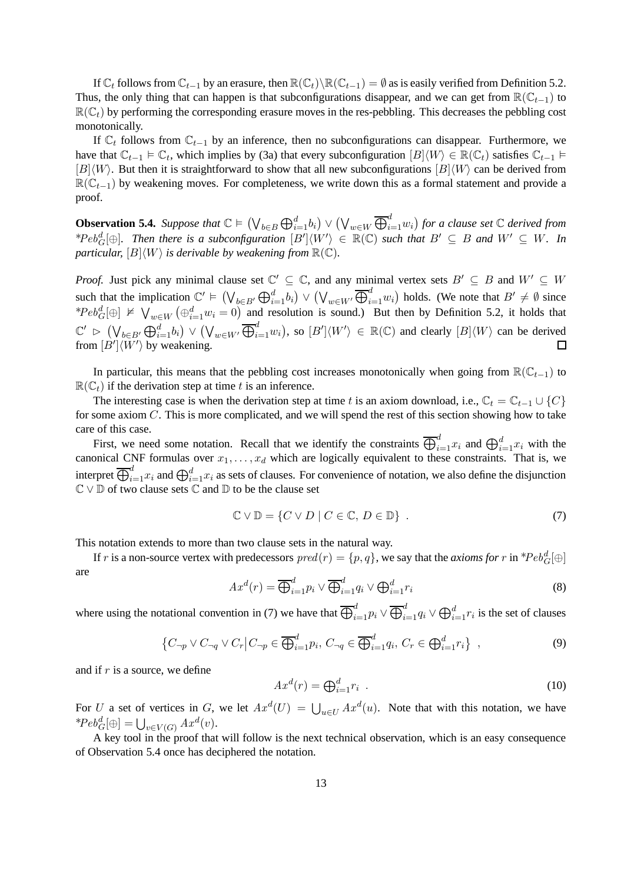If  $\mathbb{C}_t$  follows from  $\mathbb{C}_{t-1}$  by an erasure, then  $\mathbb{R}(\mathbb{C}_t)\setminus\mathbb{R}(\mathbb{C}_{t-1}) = \emptyset$  as is easily verified from Definition 5.2. Thus, the only thing that can happen is that subconfigurations disappear, and we can get from  $\mathbb{R}(\mathbb{C}_{t-1})$  to  $\mathbb{R}(\mathbb{C}_t)$  by performing the corresponding erasure moves in the res-pebbling. This decreases the pebbling cost monotonically.

If  $\mathbb{C}_t$  follows from  $\mathbb{C}_{t-1}$  by an inference, then no subconfigurations can disappear. Furthermore, we have that  $\mathbb{C}_{t-1} \models \mathbb{C}_t$ , which implies by (3a) that every subconfiguration  $[B]\langle W\rangle \in \mathbb{R}(\mathbb{C}_t)$  satisfies  $\mathbb{C}_{t-1} \models$  $[B|\langle W\rangle]$ . But then it is straightforward to show that all new subconfigurations  $[B|\langle W\rangle]$  can be derived from  $\mathbb{R}(\mathbb{C}_{t-1})$  by weakening moves. For completeness, we write down this as a formal statement and provide a proof.

**Observation 5.4.** Suppose that  $\mathbb{C} \models (\bigvee_{b \in B} \bigoplus_{i=1}^d b_i) \vee (\bigvee_{w \in W} \overline{\bigoplus}_{i=1}^d w_i)$  for a clause set  $\mathbb C$  derived from  $e^*Peb_G^d[\oplus]$ . Then there is a subconfiguration  $[B']\langle W'\rangle \in \mathbb{R}(\mathbb{C})$  such that  $B' \subseteq B$  and  $W' \subseteq W$ . In *particular,*  $[B]\langle W \rangle$  *is derivable by weakening from*  $\mathbb{R}(\mathbb{C})$ *.* 

*Proof.* Just pick any minimal clause set  $\mathbb{C}' \subseteq \mathbb{C}$ , and any minimal vertex sets  $B' \subseteq B$  and  $W' \subseteq W$ such that the implication  $\mathbb{C}' \models (\bigvee_{b \in B'} \bigoplus_{i=1}^d b_i) \vee (\bigvee_{w \in W'} \overline{\bigoplus}_{i=1}^d w_i)$  holds. (We note that  $B' \neq \emptyset$  since  ${}^*Peb_G^d[\oplus] \not\vDash \bigvee_{w\in W} (\oplus_{i=1}^d w_i = 0)$  and resolution is sound.) But then by Definition 5.2, it holds that  $\mathbb{C}' \vartriangleright (\bigvee_{b \in B'} \bigoplus_{i=1}^d b_i) \vee (\bigvee_{w \in W'} \overline{\bigoplus}_{i=1}^d w_i),$  so  $[B']\langle W' \rangle \in \mathbb{R}(\mathbb{C})$  and clearly  $[B]\langle W \rangle$  can be derived from  $[B']\langle W'\rangle$  by weakening.

In particular, this means that the pebbling cost increases monotonically when going from  $\mathbb{R}(\mathbb{C}_{t-1})$  to  $\mathbb{R}(\mathbb{C}_t)$  if the derivation step at time t is an inference.

The interesting case is when the derivation step at time t is an axiom download, i.e.,  $\mathbb{C}_t = \mathbb{C}_{t-1} \cup \{C\}$ for some axiom C. This is more complicated, and we will spend the rest of this section showing how to take care of this case.

First, we need some notation. Recall that we identify the constraints  $\overline{\bigoplus}_{i=1}^d x_i$  and  $\bigoplus_{i=1}^d x_i$  with the canonical CNF formulas over  $x_1, \ldots, x_d$  which are logically equivalent to these constraints. That is, we interpret  $\overline{\bigoplus}_{i=1}^d x_i$  and  $\bigoplus_{i=1}^d x_i$  as sets of clauses. For convenience of notation, we also define the disjunction C ∨ D of two clause sets C and D to be the clause set

$$
\mathbb{C} \vee \mathbb{D} = \{ C \vee D \mid C \in \mathbb{C}, D \in \mathbb{D} \} . \tag{7}
$$

This notation extends to more than two clause sets in the natural way.

If r is a non-source vertex with predecessors  $pred(r) = \{p, q\}$ , we say that the *axioms for* r in  $^*Peb_G^d[\oplus]$ are

$$
Ax^{d}(r) = \overline{\bigoplus}_{i=1}^{d} p_{i} \vee \overline{\bigoplus}_{i=1}^{d} q_{i} \vee \bigoplus_{i=1}^{d} r_{i}
$$
\n
$$
(8)
$$

where using the notational convention in (7) we have that  $\overline{\bigoplus}_{i=1}^d p_i \vee \overline{\bigoplus}_{i=1}^d q_i \vee \bigoplus_{i=1}^d r_i$  is the set of clauses

$$
\left\{C_{\neg p} \lor C_{\neg q} \lor C_r \middle| C_{\neg p} \in \overline{\bigoplus}_{i=1}^d p_i, \ C_{\neg q} \in \overline{\bigoplus}_{i=1}^d q_i, \ C_r \in \bigoplus_{i=1}^d r_i \right\} \ , \tag{9}
$$

and if  $r$  is a source, we define

$$
Ax^{d}(r) = \bigoplus_{i=1}^{d} r_{i} . \qquad (10)
$$

For U a set of vertices in G, we let  $Ax^d(U) = \bigcup_{u \in U} Ax^d(u)$ . Note that with this notation, we have  $*Peb_G^d[\oplus] = \bigcup_{v \in V(G)} Ax^d(v).$ 

A key tool in the proof that will follow is the next technical observation, which is an easy consequence of Observation 5.4 once has deciphered the notation.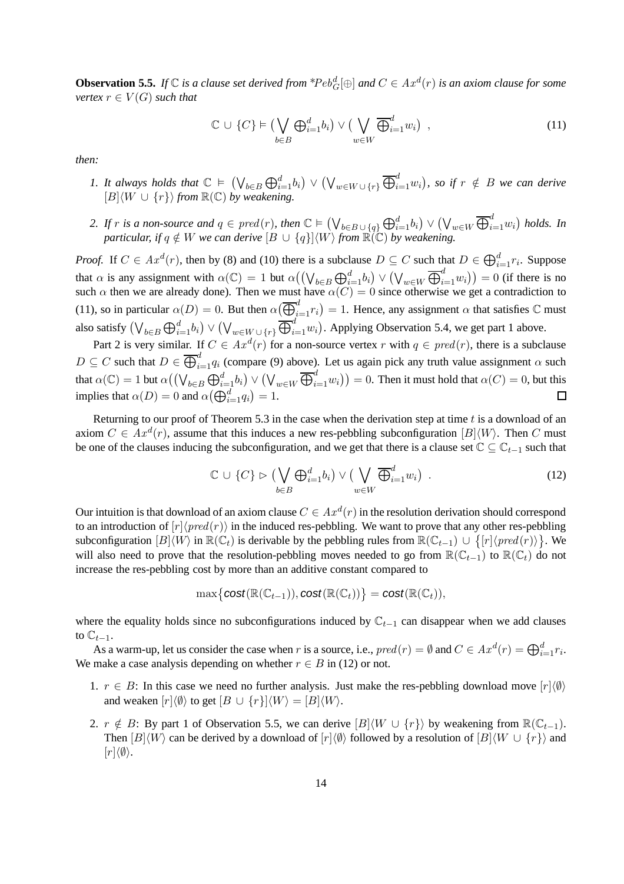**Observation 5.5.** *If*  $\mathbb C$  *is a clause set derived from*  $*Peb_G^d[\oplus]$  *and*  $C \in Ax^d(r)$  *is an axiom clause for some vertex*  $r \in V(G)$  *such that* 

$$
\mathbb{C} \cup \{C\} \vDash \left(\bigvee_{b \in B} \bigoplus_{i=1}^{d} b_i\right) \vee \left(\bigvee_{w \in W} \overline{\bigoplus}_{i=1}^{d} w_i\right) ,\tag{11}
$$

*then:*

- *1. It always holds that*  $\mathbb{C} \models (\bigvee_{b \in B} \bigoplus_{i=1}^{d} b_i) \vee (\bigvee_{w \in W \cup \{r\}} \overline{\bigoplus}_{i=1}^{d} w_i)$ , so if  $r \notin B$  we can derive  $[B|\langle W \cup \{r\} \rangle$  *from*  $\mathbb{R}(\mathbb{C})$  *by weakening.*
- 2. If r is a non-source and  $q \in pred(r)$ , then  $\mathbb{C} \models (\bigvee_{b \in B \cup \{q\}} \bigoplus_{i=1}^d b_i) \vee (\bigvee_{w \in W} \overline{\bigoplus}_{i=1}^d w_i)$  holds. In *particular, if*  $q \notin W$  *we can derive*  $[B \cup \{q\}]\langle W \rangle$  *from*  $\mathbb{R}(\mathbb{C})$  *by weakening.*

*Proof.* If  $C \in Ax^d(r)$ , then by (8) and (10) there is a subclause  $D \subseteq C$  such that  $D \in \bigoplus_{i=1}^d r_i$ . Suppose that  $\alpha$  is any assignment with  $\alpha(\mathbb{C}) = 1$  but  $\alpha((\bigvee_{b \in B} \bigoplus_{i=1}^d b_i) \vee (\bigvee_{w \in W} \overline{\bigoplus}_{i=1}^d w_i)) = 0$  (if there is no such  $\alpha$  then we are already done). Then we must have  $\alpha(C) = 0$  since otherwise we get a contradiction to (11), so in particular  $\alpha(D) = 0$ . But then  $\alpha(\overline{\bigoplus}_{i=1}^{d} r_i) = 1$ . Hence, any assignment  $\alpha$  that satisfies  $\mathbb C$  must also satisfy  $(\bigvee_{b\in B}\bigoplus_{i=1}^d b_i)\vee(\bigvee_{w\in W\cup\{r\}}\overline{\bigoplus}_{i=1}^dw_i).$  Applying Observation 5.4, we get part 1 above.

Part 2 is very similar. If  $C \in Ax^d(r)$  for a non-source vertex r with  $q \in pred(r)$ , there is a subclause  $D \subseteq C$  such that  $D \in \overline{\bigoplus}_{i=1}^d q_i$  (compare (9) above). Let us again pick any truth value assignment  $\alpha$  such that  $\alpha(\mathbb{C})=1$  but  $\alpha\big(\big(\bigvee_{b\in B}\bigoplus_{i=1}^d b_i\big)\vee\big(\bigvee_{w\in W}\overline{\bigoplus}_{i=1}^dw_i\big)\big)=0.$  Then it must hold that  $\alpha(C)=0,$  but this implies that  $\alpha(D) = 0$  and  $\alpha(\bigoplus_{i=1}^{d} q_i) = 1$ .

Returning to our proof of Theorem 5.3 in the case when the derivation step at time  $t$  is a download of an axiom  $C \in Ax^d(r)$ , assume that this induces a new res-pebbling subconfiguration  $[B]\langle W\rangle$ . Then C must be one of the clauses inducing the subconfiguration, and we get that there is a clause set  $\mathbb{C} \subseteq \mathbb{C}_{t-1}$  such that

$$
\mathbb{C} \cup \{C\} \triangleright \left(\bigvee_{b \in B} \bigoplus_{i=1}^{d} b_i\right) \vee \left(\bigvee_{w \in W} \overline{\bigoplus}_{i=1}^{d} w_i\right) . \tag{12}
$$

Our intuition is that download of an axiom clause  $C \in Ax^d(r)$  in the resolution derivation should correspond to an introduction of  $[r]\langle pred(r)\rangle$  in the induced res-pebbling. We want to prove that any other res-pebbling subconfiguration  $[B]\langle W\rangle$  in  $\mathbb{R}(\mathbb{C}_t)$  is derivable by the pebbling rules from  $\mathbb{R}(\mathbb{C}_{t-1})\cup \{[r]\langle pred(r)\rangle\}$ . We will also need to prove that the resolution-pebbling moves needed to go from  $\mathbb{R}(\mathbb{C}_{t-1})$  to  $\mathbb{R}(\mathbb{C}_t)$  do not increase the res-pebbling cost by more than an additive constant compared to

$$
\max\bigl\{\textsf{cost}(\mathbb{R}(\mathbb{C}_{t-1})),\textsf{cost}(\mathbb{R}(\mathbb{C}_{t}))\bigr\}=\textsf{cost}(\mathbb{R}(\mathbb{C}_{t})),
$$

where the equality holds since no subconfigurations induced by  $\mathbb{C}_{t-1}$  can disappear when we add clauses to  $\mathbb{C}_{t-1}$ .

As a warm-up, let us consider the case when r is a source, i.e.,  $pred(r) = \emptyset$  and  $C \in Ax^d(r) = \bigoplus_{i=1}^d r_i$ . We make a case analysis depending on whether  $r \in B$  in (12) or not.

- 1.  $r \in B$ : In this case we need no further analysis. Just make the res-pebbling download move  $[r]\langle\emptyset\rangle$ and weaken  $[r]\langle \emptyset \rangle$  to get  $[B \cup \{r\}]\langle W \rangle = [B]\langle W \rangle$ .
- 2.  $r \notin B$ : By part 1 of Observation 5.5, we can derive  $B|\langle W \cup \{r\}\rangle$  by weakening from  $\mathbb{R}(\mathbb{C}_{t-1})$ . Then  $[B|\langle W\rangle]$  can be derived by a download of  $[r]\langle\emptyset\rangle$  followed by a resolution of  $[B|\langle W\cup\{r\}\rangle]$  and  $[r]\langle\emptyset\rangle.$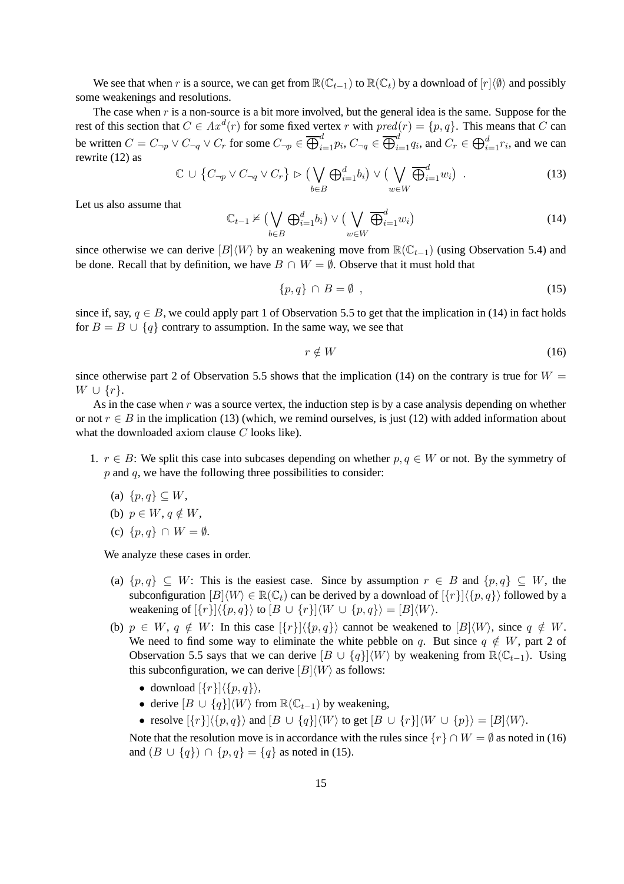We see that when r is a source, we can get from  $\mathbb{R}(\mathbb{C}_{t-1})$  to  $\mathbb{R}(\mathbb{C}_t)$  by a download of  $[r]\langle\emptyset\rangle$  and possibly some weakenings and resolutions.

The case when  $r$  is a non-source is a bit more involved, but the general idea is the same. Suppose for the rest of this section that  $C \in Ax^d(r)$  for some fixed vertex r with  $pred(r) = \{p, q\}$ . This means that C can be written  $C = C_{\neg p} \vee C_{\neg q} \vee C_r$  for some  $C_{\neg p} \in \overline{\bigoplus}_{i=1}^d p_i$ ,  $C_{\neg q} \in \overline{\bigoplus}_{i=1}^d q_i$ , and  $C_r \in \bigoplus_{i=1}^d r_i$ , and we can rewrite (12) as

$$
\mathbb{C} \cup \{C_{\neg p} \vee C_{\neg q} \vee C_r\} \triangleright \left(\bigvee_{b \in B} \bigoplus_{i=1}^d b_i\right) \vee \left(\bigvee_{w \in W} \overline{\bigoplus}_{i=1}^d w_i\right) . \tag{13}
$$

Let us also assume that

$$
\mathbb{C}_{t-1} \nvDash (\bigvee_{b \in B} \bigoplus_{i=1}^{d} b_i) \vee (\bigvee_{w \in W} \overline{\bigoplus}_{i=1}^{d} w_i)
$$
\n(14)

since otherwise we can derive  $[B|\langle W\rangle]$  by an weakening move from  $\mathbb{R}(\mathbb{C}_{t-1})$  (using Observation 5.4) and be done. Recall that by definition, we have  $B \cap W = \emptyset$ . Observe that it must hold that

$$
\{p,q\} \cap B = \emptyset \tag{15}
$$

since if, say,  $q \in B$ , we could apply part 1 of Observation 5.5 to get that the implication in (14) in fact holds for  $B = B \cup \{q\}$  contrary to assumption. In the same way, we see that

$$
r \notin W \tag{16}
$$

since otherwise part 2 of Observation 5.5 shows that the implication (14) on the contrary is true for  $W =$  $W \cup \{r\}.$ 

As in the case when r was a source vertex, the induction step is by a case analysis depending on whether or not  $r \in B$  in the implication (13) (which, we remind ourselves, is just (12) with added information about what the downloaded axiom clause C looks like).

- 1.  $r \in B$ : We split this case into subcases depending on whether  $p, q \in W$  or not. By the symmetry of  $p$  and  $q$ , we have the following three possibilities to consider:
	- (a)  $\{p,q\} \subset W$ ,
	- (b)  $p \in W, q \notin W$ ,
	- (c)  $\{p,q\} \cap W = \emptyset$ .

We analyze these cases in order.

- (a)  $\{p,q\} \subseteq W$ : This is the easiest case. Since by assumption  $r \in B$  and  $\{p,q\} \subseteq W$ , the subconfiguration  $[B|\langle W\rangle \in \mathbb{R}(\mathbb{C}_t)$  can be derived by a download of  $\{\{r\}\}\langle \{p, q\}\rangle$  followed by a weakening of  $\{ \{r\} | \langle \{p, q\} \rangle$  to  $B \cup \{r\} | \langle W \cup \{p, q\} \rangle = |B| \langle W \rangle$ .
- (b)  $p \in W$ ,  $q \notin W$ : In this case  $\{\{r\}\}\langle p, q\rangle$  cannot be weakened to  $[B]\langle W\rangle$ , since  $q \notin W$ . We need to find some way to eliminate the white pebble on q. But since  $q \notin W$ , part 2 of Observation 5.5 says that we can derive  $[B \cup \{q\}]\langle W \rangle$  by weakening from  $\mathbb{R}(\mathbb{C}_{t-1})$ . Using this subconfiguration, we can derive  $\left[\frac{B}{W}\right]$  as follows:
	- download  $\{r\}\langle \{p, q\}\rangle$ ,
	- derive  $[B \cup \{q\}]\langle W \rangle$  from  $\mathbb{R}(\mathbb{C}_{t-1})$  by weakening,
	- resolve  $\{\{r\}\vert \{\{p, q\}\}\rangle$  and  $\{B \cup \{q\}\vert \langle W \rangle \}$  to get  $\{B \cup \{r\}\vert \langle W \cup \{p\}\rangle = [B]\langle W \rangle$ .

Note that the resolution move is in accordance with the rules since  $\{r\} \cap W = \emptyset$  as noted in (16) and  $(B \cup \{q\}) \cap \{p,q\} = \{q\}$  as noted in (15).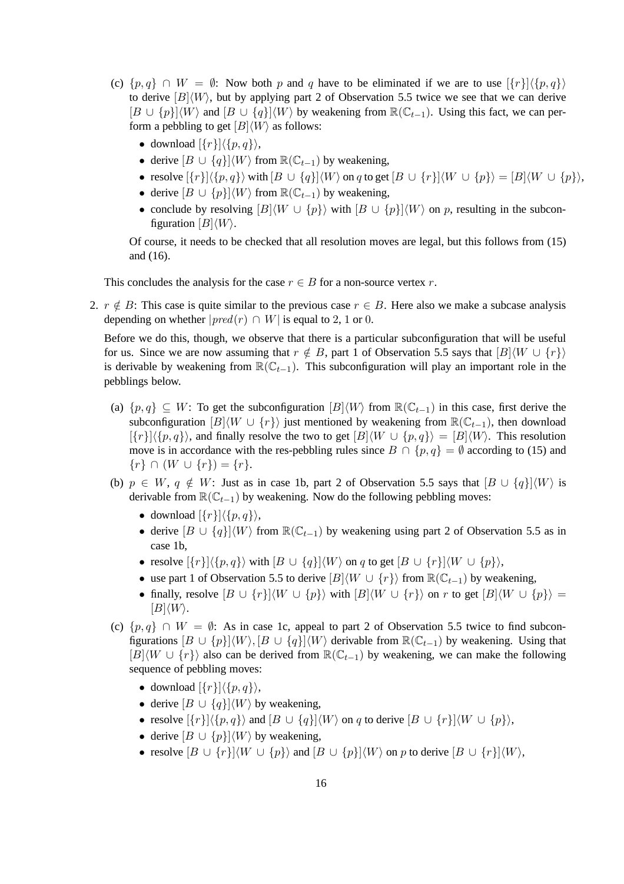- (c)  $\{p, q\} \cap W = \emptyset$ : Now both p and q have to be eliminated if we are to use  $[\{r\}]\langle\{p, q\}\rangle$ to derive  $\left[\frac{B}{W}\right]$ , but by applying part 2 of Observation 5.5 twice we see that we can derive  $[B \cup \{p\}]\langle W \rangle$  and  $[B \cup \{q\}]\langle W \rangle$  by weakening from  $\mathbb{R}(\mathbb{C}_{t-1})$ . Using this fact, we can perform a pebbling to get  $\left[\frac{B}{W}\right]$  as follows:
	- download  $\{r\}\langle \{p, q\}\rangle$ ,
	- derive  $[B \cup \{q\}]\langle W \rangle$  from  $\mathbb{R}(\mathbb{C}_{t-1})$  by weakening,
	- resolve  $\{ \{r\} | \langle \{p, q\} \rangle$  with  $|B \cup \{q\} | \langle W \rangle$  on q to get  $|B \cup \{r\} | \langle W \cup \{p\} \rangle = |B| \langle W \cup \{p\} \rangle$ ,
	- derive  $[B \cup \{p\}]\langle W \rangle$  from  $\mathbb{R}(\mathbb{C}_{t-1})$  by weakening,
	- conclude by resolving  $B|\langle W \cup \{p\}\rangle$  with  $[B \cup \{p\}|\langle W \rangle$  on p, resulting in the subconfiguration  $[B]\langle W\rangle$ .

Of course, it needs to be checked that all resolution moves are legal, but this follows from (15) and (16).

This concludes the analysis for the case  $r \in B$  for a non-source vertex r.

2.  $r \notin B$ : This case is quite similar to the previous case  $r \in B$ . Here also we make a subcase analysis depending on whether  $|pred(r) \cap W|$  is equal to 2, 1 or 0.

Before we do this, though, we observe that there is a particular subconfiguration that will be useful for us. Since we are now assuming that  $r \notin B$ , part 1 of Observation 5.5 says that  $B|\langle W \cup \{r\}\rangle$ is derivable by weakening from  $\mathbb{R}(\mathbb{C}_{t-1})$ . This subconfiguration will play an important role in the pebblings below.

- (a)  $\{p, q\} \subseteq W$ : To get the subconfiguration  $[B]\langle W\rangle$  from  $\mathbb{R}(\mathbb{C}_{t-1})$  in this case, first derive the subconfiguration  $[B|\langle W \cup \{r\}\rangle]$  just mentioned by weakening from  $\mathbb{R}(\mathbb{C}_{t-1})$ , then download  $[\{r\}]\langle \{p, q\}\rangle$ , and finally resolve the two to get  $[B]\langle W \cup \{p, q\}\rangle = [B]\langle W\rangle$ . This resolution move is in accordance with the res-pebbling rules since  $B \cap \{p,q\} = \emptyset$  according to (15) and  $\{r\} \cap (W \cup \{r\}) = \{r\}.$
- (b)  $p \in W$ ,  $q \notin W$ : Just as in case 1b, part 2 of Observation 5.5 says that  $[B \cup \{q\}]\langle W \rangle$  is derivable from  $\mathbb{R}(\mathbb{C}_{t-1})$  by weakening. Now do the following pebbling moves:
	- download  $\{\{r\}\}\langle \{p, q\}\rangle$ ,
	- derive  $[B \cup \{q\}]\langle W\rangle$  from  $\mathbb{R}(\mathbb{C}_{t-1})$  by weakening using part 2 of Observation 5.5 as in case 1b,
	- resolve  $\{\{r\}\}\langle p, q\rangle$  with  $[B \cup \{q\}\langle W \rangle$  on q to get  $[B \cup \{r\}\langle W \cup \{p\}\rangle$ ,
	- use part 1 of Observation 5.5 to derive  $\left[\frac{B}{W} \cup \{r\}\right]$  from  $\mathbb{R}(\mathbb{C}_{t-1})$  by weakening,
	- finally, resolve  $[B \cup \{r\}](W \cup \{p\})$  with  $[B]\langle W \cup \{r\}\rangle$  on r to get  $[B]\langle W \cup \{p\}\rangle =$  $[B]\langle W\rangle.$
- (c)  $\{p,q\} \cap W = \emptyset$ : As in case 1c, appeal to part 2 of Observation 5.5 twice to find subconfigurations  $[B \cup \{p\}]\langle W \rangle$ ,  $[B \cup \{q\}]\langle W \rangle$  derivable from  $\mathbb{R}(\mathbb{C}_{t-1})$  by weakening. Using that  $[B|\langle W \cup \{r\}\rangle]$  also can be derived from  $\mathbb{R}(\mathbb{C}_{t-1})$  by weakening, we can make the following sequence of pebbling moves:
	- download  $\{r\}\langle \{p, q\}\rangle$ ,
	- derive  $[B \cup \{q\}]\langle W \rangle$  by weakening,
	- resolve  $\{\{r\}\vert \{\{p, q\}\}\rangle$  and  $[B \cup \{q\}\vert \langle W \rangle$  on q to derive  $[B \cup \{r\}\vert \langle W \cup \{p\}\rangle]$ ,
	- derive  $[B \cup \{p\}]\langle W \rangle$  by weakening,
	- resolve  $[B \cup \{r\}]\langle W \cup \{p\}\rangle$  and  $[B \cup \{p\}]\langle W\rangle$  on p to derive  $[B \cup \{r\}]\langle W\rangle$ ,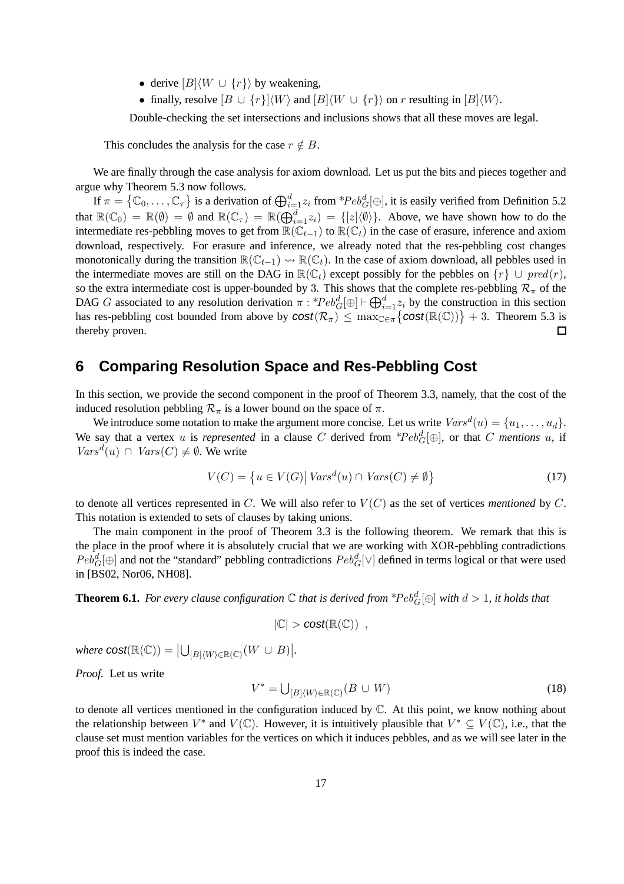- derive  $\left[\frac{B}{W} \cup \{r\}\right]$  by weakening,
- finally, resolve  $[B \cup \{r\}]\langle W \rangle$  and  $[B]\langle W \cup \{r\}\rangle$  on r resulting in  $[B]\langle W \rangle$ .

Double-checking the set intersections and inclusions shows that all these moves are legal.

This concludes the analysis for the case  $r \notin B$ .

We are finally through the case analysis for axiom download. Let us put the bits and pieces together and argue why Theorem 5.3 now follows.

If  $\pi = \{ \mathbb{C}_0, \ldots, \mathbb{C}_\tau \}$  is a derivation of  $\bigoplus_{i=1}^d z_i$  from  $*Peb_G^d[\oplus]$ , it is easily verified from Definition 5.2 that  $\mathbb{R}(\mathbb{C}_0) = \mathbb{R}(\emptyset) = \emptyset$  and  $\mathbb{R}(\mathbb{C}_\tau) = \mathbb{R}(\bigoplus_{i=1}^d z_i) = \{[z]\langle\emptyset\rangle\}$ . Above, we have shown how to do the intermediate res-pebbling moves to get from  $\mathbb{R}(\mathbb{C}_{t-1})$  to  $\mathbb{R}(\mathbb{C}_t)$  in the case of erasure, inference and axiom download, respectively. For erasure and inference, we already noted that the res-pebbling cost changes monotonically during the transition  $\mathbb{R}(\mathbb{C}_{t-1}) \rightsquigarrow \mathbb{R}(\mathbb{C}_{t})$ . In the case of axiom download, all pebbles used in the intermediate moves are still on the DAG in  $\mathbb{R}(\mathbb{C}_t)$  except possibly for the pebbles on  $\{r\} \cup pred(r)$ , so the extra intermediate cost is upper-bounded by 3. This shows that the complete res-pebbling  $\mathcal{R}_{\pi}$  of the DAG G associated to any resolution derivation  $\pi : {}^*Peb_G^d[\oplus] \vdash \bigoplus_{i=1}^d z_i$  by the construction in this section has res-pebbling cost bounded from above by  $cost(\mathcal{R}_{\pi}) \leq \max_{\mathbb{C} \in \pi} \{cost(\mathbb{R}(\mathbb{C}))\} + 3$ . Theorem 5.3 is thereby proven.  $\Box$ 

# **6 Comparing Resolution Space and Res-Pebbling Cost**

In this section, we provide the second component in the proof of Theorem 3.3, namely, that the cost of the induced resolution pebbling  $\mathcal{R}_{\pi}$  is a lower bound on the space of  $\pi$ .

We introduce some notation to make the argument more concise. Let us write  $Vars^d(u) = \{u_1, \ldots, u_d\}.$ We say that a vertex u is *represented* in a clause C derived from  $*Peb_G^d[\oplus]$ , or that C *mentions* u, if  $Vars^d(u) \cap Vars(C) \neq \emptyset$ . We write

$$
V(C) = \left\{ u \in V(G) \middle| \text{Vars}^d(u) \cap \text{Vars}(C) \neq \emptyset \right\}
$$
\n
$$
(17)
$$

to denote all vertices represented in C. We will also refer to  $V(C)$  as the set of vertices *mentioned* by C. This notation is extended to sets of clauses by taking unions.

The main component in the proof of Theorem 3.3 is the following theorem. We remark that this is the place in the proof where it is absolutely crucial that we are working with XOR-pebbling contradictions  $Peb_G^d[\oplus]$  and not the "standard" pebbling contradictions  $Peb_G^d[\vee]$  defined in terms logical or that were used in [BS02, Nor06, NH08].

**Theorem 6.1.** *For every clause configuration*  $\mathbb C$  *that is derived from*  $^*Peb_G^d[\oplus]$  *with*  $d > 1$ *, it holds that* 

$$
|\mathbb{C}| > \text{cost}(\mathbb{R}(\mathbb{C})) ,
$$

 $where \; \textsf{cost}(\mathbb{R}(\mathbb{C})) = \big|\bigcup_{[B]\langle W \rangle \in \mathbb{R}(\mathbb{C})} (W \cup B)\big|.$ 

*Proof.* Let us write

$$
V^* = \bigcup_{[B]\langle W \rangle \in \mathbb{R}(\mathbb{C})} (B \cup W) \tag{18}
$$

to denote all vertices mentioned in the configuration induced by  $\mathbb{C}$ . At this point, we know nothing about the relationship between  $V^*$  and  $V(\mathbb{C})$ . However, it is intuitively plausible that  $V^* \subseteq V(\mathbb{C})$ , i.e., that the clause set must mention variables for the vertices on which it induces pebbles, and as we will see later in the proof this is indeed the case.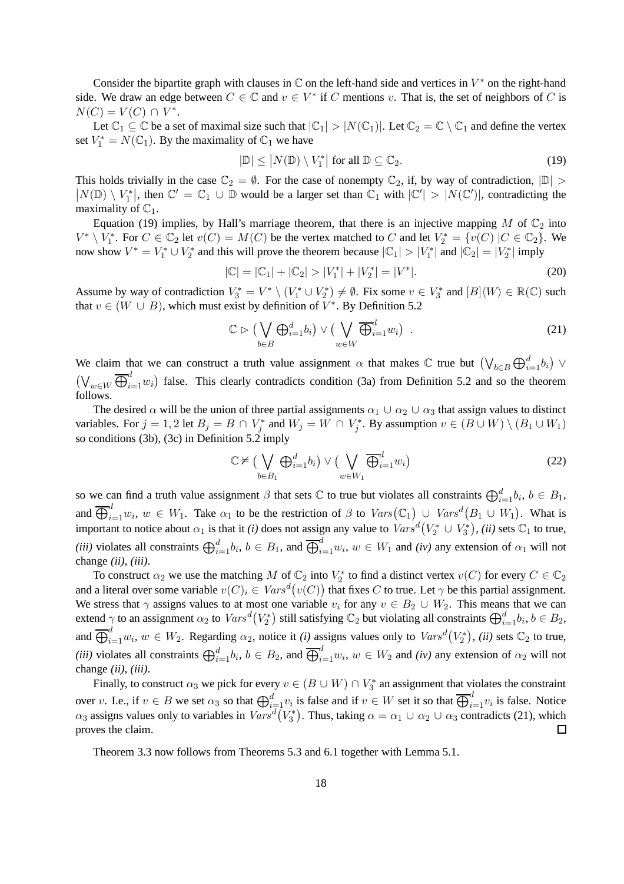Consider the bipartite graph with clauses in  $\mathbb C$  on the left-hand side and vertices in  $V^*$  on the right-hand side. We draw an edge between  $C \in \mathbb{C}$  and  $v \in V^*$  if C mentions v. That is, the set of neighbors of C is  $N(C) = V(C) \cap V^*$ .

Let  $\mathbb{C}_1 \subseteq \mathbb{C}$  be a set of maximal size such that  $|\mathbb{C}_1| > |N(\mathbb{C}_1)|$ . Let  $\mathbb{C}_2 = \mathbb{C} \setminus \mathbb{C}_1$  and define the vertex set  $V_1^* = N(\mathbb{C}_1)$ . By the maximality of  $\mathbb{C}_1$  we have

$$
|\mathbb{D}| \le |N(\mathbb{D}) \setminus V_1^*| \text{ for all } \mathbb{D} \subseteq \mathbb{C}_2.
$$
 (19)

This holds trivially in the case  $\mathbb{C}_2 = \emptyset$ . For the case of nonempty  $\mathbb{C}_2$ , if, by way of contradiction,  $|\mathbb{D}| >$  $\left|N(\mathbb{D})\setminus V^*_1\right|$ , then  $\mathbb{C}'=\mathbb{C}_1\cup\mathbb{D}$  would be a larger set than  $\mathbb{C}_1$  with  $|\mathbb{C}'|> |N(\mathbb{C}')|$ , contradicting the maximality of  $\mathbb{C}_1$ .

Equation (19) implies, by Hall's marriage theorem, that there is an injective mapping M of  $\mathbb{C}_2$  into  $V^* \setminus V_1^*$ . For  $C \in \mathbb{C}_2$  let  $v(C) = M(C)$  be the vertex matched to C and let  $V_2^* = \{v(C) | C \in \mathbb{C}_2\}$ . We now show  $V^* = V_1^* \cup V_2^*$  and this will prove the theorem because  $|\mathbb{C}_1| > |V_1^*|$  and  $|\mathbb{C}_2| = |V_2^*|$  imply

$$
|\mathbb{C}| = |\mathbb{C}_1| + |\mathbb{C}_2| > |V_1^*| + |V_2^*| = |V^*|.
$$
\n(20)

Assume by way of contradiction  $V_3^* = V^* \setminus (V_1^* \cup V_2^*) \neq \emptyset$ . Fix some  $v \in V_3^*$  and  $[B]\langle W \rangle \in \mathbb{R}(\mathbb{C})$  such that  $v \in (W \cup B)$ , which must exist by definition of  $V^*$ . By Definition 5.2

$$
\mathbb{C} \triangleright \left(\bigvee_{b \in B} \bigoplus_{i=1}^{d} b_i\right) \vee \left(\bigvee_{w \in W} \overline{\bigoplus}_{i=1}^{d} w_i\right) \right. \tag{21}
$$

We claim that we can construct a truth value assignment  $\alpha$  that makes  $\mathbb C$  true but  $(\bigvee_{b \in B} \bigoplus_{i=1}^d b_i)$   $\vee$  $(\bigvee_{w\in W}\overline{\bigoplus}_{i=1}^dw_i)$  false. This clearly contradicts condition (3a) from Definition 5.2 and so the theorem follows.

The desired  $\alpha$  will be the union of three partial assignments  $\alpha_1 \cup \alpha_2 \cup \alpha_3$  that assign values to distinct variables. For  $j = 1, 2$  let  $B_j = B \cap V_j^*$  and  $W_j = W \cap V_j^*$ . By assumption  $v \in (B \cup W) \setminus (B_1 \cup W_1)$ so conditions (3b), (3c) in Definition 5.2 imply

$$
\mathbb{C} \nvDash (\bigvee_{b \in B_1} \bigoplus_{i=1}^d b_i) \vee (\bigvee_{w \in W_1} \overline{\bigoplus}_{i=1}^d w_i)
$$
\n(22)

so we can find a truth value assignment  $\beta$  that sets  $\mathbb C$  to true but violates all constraints  $\bigoplus_{i=1}^d b_i$ ,  $b \in B_1$ , and  $\overline{\bigoplus}_{i=1}^d w_i$ ,  $w \in W_1$ . Take  $\alpha_1$  to be the restriction of  $\beta$  to  $Vars^{\beta}(\mathbb{C}_1) \cup \text{Vars}^d(B_1 \cup W_1)$ . What is important to notice about  $\alpha_1$  is that it *(i)* does not assign any value to  $Vars^d(V_2^* \cup V_3^*)$ , *(ii)* sets  $\mathbb{C}_1$  to true, *(iii)* violates all constraints  $\bigoplus_{i=1}^d b_i$ ,  $b \in B_1$ , and  $\overline{\bigoplus}_{i=1}^d w_i$ ,  $w \in W_1$  and *(iv)* any extension of  $\alpha_1$  will not change *(ii)*, *(iii)*.

To construct  $\alpha_2$  we use the matching M of  $\mathbb{C}_2$  into  $V_2^*$  to find a distinct vertex  $v(C)$  for every  $C \in \mathbb{C}_2$ and a literal over some variable  $v(C)_i \in Vars^d(v(C))$  that fixes C to true. Let  $\gamma$  be this partial assignment. We stress that  $\gamma$  assigns values to at most one variable  $v_i$  for any  $v \in B_2 \cup W_2$ . This means that we can extend  $\gamma$  to an assignment  $\alpha_2$  to  $Vars^d(V_2^*)$  still satisfying  $\mathbb{C}_2$  but violating all constraints  $\bigoplus_{i=1}^d b_i, b \in B_2$ , and  $\overline{\bigoplus}_{i=1}^d w_i$ ,  $w \in W_2$ . Regarding  $\alpha_2$ , notice it *(i)* assigns values only to  $Vars^d(V_2^*)$ , *(ii)* sets  $\mathbb{C}_2$  to true, *(iii)* violates all constraints  $\bigoplus_{i=1}^d b_i$ ,  $b \in B_2$ , and  $\overline{\bigoplus}_{i=1}^d w_i$ ,  $w \in W_2$  and *(iv)* any extension of  $\alpha_2$  will not change *(ii)*, *(iii)*.

Finally, to construct  $\alpha_3$  we pick for every  $v \in (B \cup W) \cap V_3^*$  an assignment that violates the constraint over v. I.e., if  $v \in B$  we set  $\alpha_3$  so that  $\bigoplus_{i=1}^d v_i$  is false and if  $v \in W$  set it so that  $\overline{\bigoplus_{i=1}^d v_i}$  is false. Notice  $\alpha_3$  assigns values only to variables in  $Vars^d(V_3^*)$ . Thus, taking  $\alpha = \alpha_1 \cup \alpha_2 \cup \alpha_3$  contradicts (21), which proves the claim.

Theorem 3.3 now follows from Theorems 5.3 and 6.1 together with Lemma 5.1.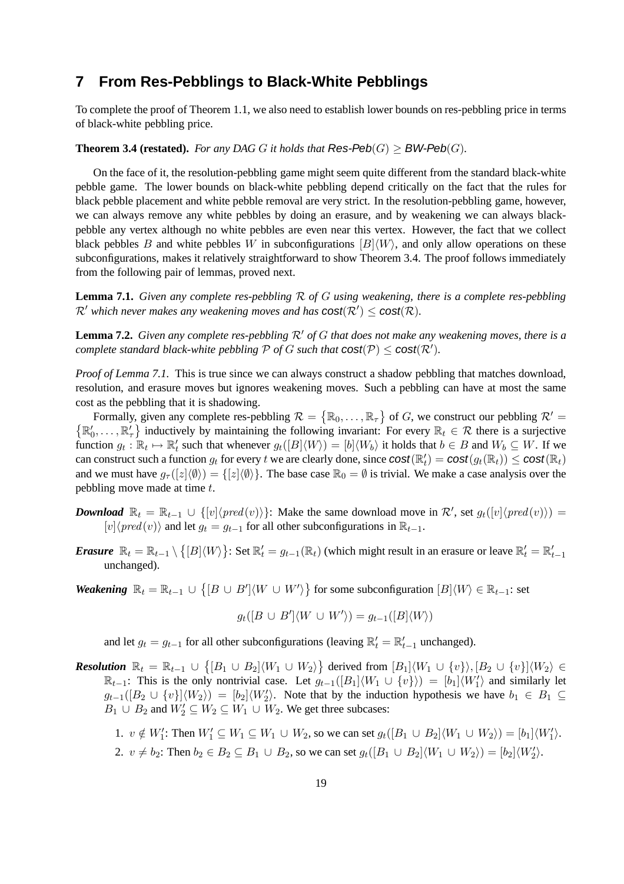## **7 From Res-Pebblings to Black-White Pebblings**

To complete the proof of Theorem 1.1, we also need to establish lower bounds on res-pebbling price in terms of black-white pebbling price.

#### **Theorem 3.4 (restated).** *For any DAG* G *it holds that*  $\text{Res-Peb}(G) \geq \text{BW-Peb}(G)$ *.*

On the face of it, the resolution-pebbling game might seem quite different from the standard black-white pebble game. The lower bounds on black-white pebbling depend critically on the fact that the rules for black pebble placement and white pebble removal are very strict. In the resolution-pebbling game, however, we can always remove any white pebbles by doing an erasure, and by weakening we can always blackpebble any vertex although no white pebbles are even near this vertex. However, the fact that we collect black pebbles B and white pebbles W in subconfigurations  $[B](W)$ , and only allow operations on these subconfigurations, makes it relatively straightforward to show Theorem 3.4. The proof follows immediately from the following pair of lemmas, proved next.

**Lemma 7.1.** *Given any complete res-pebbling* R *of* G *using weakening, there is a complete res-pebbling*  $\mathcal{R}'$  which never makes any weakening moves and has  $\mathsf{cost}(\mathcal{R}') \leq \mathsf{cost}(\mathcal{R}).$ 

**Lemma 7.2.** *Given any complete res-pebbling*  $\mathcal{R}'$  *of*  $G$  *that does not make any weakening moves, there is a complete standard black-white pebbling*  $P$  *of*  $G$  *such that*  $cost(P) \le cost(R')$ .

*Proof of Lemma 7.1.* This is true since we can always construct a shadow pebbling that matches download, resolution, and erasure moves but ignores weakening moves. Such a pebbling can have at most the same cost as the pebbling that it is shadowing.

Formally, given any complete res-pebbling  $\mathcal{R} = \{ \mathbb{R}_0, \dots, \mathbb{R}_\tau \}$  of G, we construct our pebbling  $\mathcal{R}' = \{ \mathbb{R}'_0, \dots, \mathbb{R}'_\tau \}$  inductively by maintaining the following invariant: For every  $\mathbb{R}_t \in \mathcal{R}$   $\mathbb{R}'_0,\ldots,\mathbb{R}'_\tau$  inductively by maintaining the following invariant: For every  $\mathbb{R}_t \in \mathcal{R}$  there is a surjective function  $g_t : \mathbb{R}_t \mapsto \mathbb{R}'_t$  such that whenever  $g_t([B]\langle W \rangle) = [b]\langle W_b \rangle$  it holds that  $b \in B$  and  $W_b \subseteq W$ . If we can construct such a function  $g_t$  for every  $t$  we are clearly done, since  $cost(\mathbb{R}_t') = cost(g_t(\mathbb{R}_t)) \le cost(\mathbb{R}_t)$ and we must have  $g_{\tau}([z]\langle \emptyset \rangle) = \{[z]\langle \emptyset \rangle\}$ . The base case  $\mathbb{R}_0 = \emptyset$  is trivial. We make a case analysis over the pebbling move made at time t.

*Download*  $\mathbb{R}_t = \mathbb{R}_{t-1} \cup \{[v]\langle pred(v)\rangle\}$ : Make the same download move in  $\mathcal{R}'$ , set  $g_t([v]\langle pred(v)\rangle) =$  $[v]\langle pred(v)\rangle$  and let  $g_t = g_{t-1}$  for all other subconfigurations in  $\mathbb{R}_{t-1}$ .

*Erasure*  $\mathbb{R}_t = \mathbb{R}_{t-1} \setminus \{ [B] \langle W \rangle \}$ : Set  $\mathbb{R}'_t = g_{t-1}(\mathbb{R}_t)$  (which might result in an erasure or leave  $\mathbb{R}'_t = \mathbb{R}'_{t-1}$ unchanged).

*Weakening*  $\mathbb{R}_t = \mathbb{R}_{t-1}$  ∪  $\{[B \cup B']\langle W \cup W' \rangle\}$  for some subconfiguration  $[B]\langle W \rangle \in \mathbb{R}_{t-1}$ : set

$$
g_t([B \cup B']\langle W \cup W' \rangle) = g_{t-1}([B]\langle W \rangle)
$$

and let  $g_t = g_{t-1}$  for all other subconfigurations (leaving  $\mathbb{R}'_t = \mathbb{R}'_{t-1}$  unchanged).

**Resolution**  $\mathbb{R}_t = \mathbb{R}_{t-1}$  ∪  $\{ [B_1 \cup B_2] \langle W_1 \cup W_2 \rangle \}$  derived from  $[B_1] \langle W_1 \cup \{v\} \rangle$ ,  $[B_2 \cup \{v\}] \langle W_2 \rangle \in$  $\mathbb{R}_{t-1}$ : This is the only nontrivial case. Let  $g_{t-1}([B_1]\langle W_1 \cup \{v\}\rangle) = [b_1]\langle W_1'\rangle$  and similarly let  $g_{t-1}([B_2 \cup \{v\}]\langle W_2 \rangle) = [b_2]\langle W_2 \rangle$ . Note that by the induction hypothesis we have  $b_1 \in B_1 \subseteq$  $B_1 \cup B_2$  and  $W'_2 \subseteq W_2 \subseteq W_1 \cup W_2$ . We get three subcases:

1.  $v \notin W'_1$ : Then  $W'_1 \subseteq W_1 \subseteq W_1 \cup W_2$ , so we can set  $g_t([B_1 \cup B_2]\langle W_1 \cup W_2 \rangle) = [b_1]\langle W'_1 \rangle$ . 2.  $v \neq b_2$ : Then  $b_2 \in B_2 \subseteq B_1 \cup B_2$ , so we can set  $g_t([B_1 \cup B_2]\langle W_1 \cup W_2 \rangle) = [b_2]\langle W_2' \rangle$ .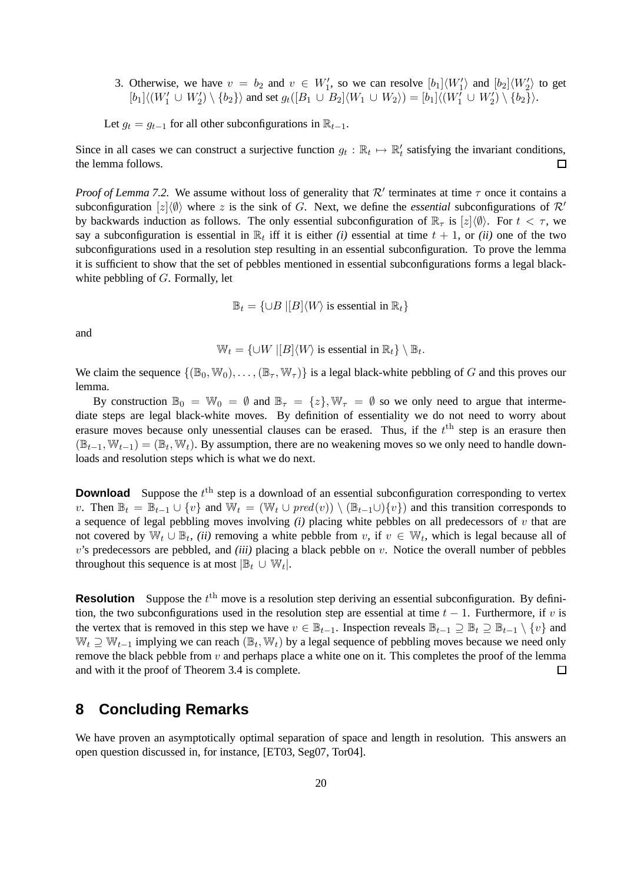3. Otherwise, we have  $v = b_2$  and  $v \in W'_1$ , so we can resolve  $[b_1]\langle W'_1\rangle$  and  $[b_2]\langle W'_2\rangle$  to get  $[b_1]\langle (W'_1 \cup W'_2) \setminus \{b_2\}\rangle$  and set  $g_t([B_1 \cup B_2]\langle W_1 \cup W_2 \rangle) = [b_1]\langle (W'_1 \cup W'_2) \setminus \{b_2\}\rangle$ .

Let  $g_t = g_{t-1}$  for all other subconfigurations in  $\mathbb{R}_{t-1}$ .

Since in all cases we can construct a surjective function  $g_t : \mathbb{R}_t \mapsto \mathbb{R}'_t$  satisfying the invariant conditions, the lemma follows.  $\Box$ 

*Proof of Lemma 7.2.* We assume without loss of generality that  $\mathcal{R}'$  terminates at time  $\tau$  once it contains a subconfiguration  $[z](\emptyset)$  where z is the sink of G. Next, we define the *essential* subconfigurations of  $\mathcal{R}'$ by backwards induction as follows. The only essential subconfiguration of  $\mathbb{R}_{\tau}$  is  $[z](\emptyset)$ . For  $t < \tau$ , we say a subconfiguration is essential in  $\mathbb{R}_t$  iff it is either *(i)* essential at time  $t + 1$ , or *(ii)* one of the two subconfigurations used in a resolution step resulting in an essential subconfiguration. To prove the lemma it is sufficient to show that the set of pebbles mentioned in essential subconfigurations forms a legal blackwhite pebbling of G. Formally, let

 $\mathbb{B}_t = \{\cup B \mid [B]\langle W\rangle \text{ is essential in } \mathbb{R}_t\}$ 

and

 $\mathbb{W}_t = \{\cup W \mid [B]\langle W\rangle \text{ is essential in } \mathbb{R}_t\} \setminus \mathbb{B}_t.$ 

We claim the sequence  $\{(\mathbb{B}_0, \mathbb{W}_0), \ldots, (\mathbb{B}_\tau, \mathbb{W}_\tau)\}\$ is a legal black-white pebbling of G and this proves our lemma.

By construction  $\mathbb{B}_0 = \mathbb{W}_0 = \emptyset$  and  $\mathbb{B}_\tau = \{z\}, \mathbb{W}_\tau = \emptyset$  so we only need to argue that intermediate steps are legal black-white moves. By definition of essentiality we do not need to worry about erasure moves because only unessential clauses can be erased. Thus, if the  $t<sup>th</sup>$  step is an erasure then  $(\mathbb{B}_{t-1}, \mathbb{W}_{t-1}) = (\mathbb{B}_t, \mathbb{W}_t)$ . By assumption, there are no weakening moves so we only need to handle downloads and resolution steps which is what we do next.

**Download** Suppose the  $t<sup>th</sup>$  step is a download of an essential subconfiguration corresponding to vertex v. Then  $\mathbb{B}_t = \mathbb{B}_{t-1} \cup \{v\}$  and  $\mathbb{W}_t = (\mathbb{W}_t \cup pred(v)) \setminus (\mathbb{B}_{t-1} \cup \{v\})$  and this transition corresponds to a sequence of legal pebbling moves involving *(i)* placing white pebbles on all predecessors of v that are not covered by  $\mathbb{W}_t \cup \mathbb{B}_t$ , *(ii)* removing a white pebble from v, if  $v \in \mathbb{W}_t$ , which is legal because all of v's predecessors are pebbled, and *(iii)* placing a black pebble on v. Notice the overall number of pebbles throughout this sequence is at most  $|\mathbb{B}_t \cup \mathbb{W}_t|$ .

**Resolution** Suppose the  $t^{\text{th}}$  move is a resolution step deriving an essential subconfiguration. By definition, the two subconfigurations used in the resolution step are essential at time  $t - 1$ . Furthermore, if v is the vertex that is removed in this step we have  $v \in \mathbb{B}_{t-1}$ . Inspection reveals  $\mathbb{B}_{t-1} \supseteq \mathbb{B}_{t} \supseteq \mathbb{B}_{t-1} \setminus \{v\}$  and  $W_t \supseteq W_{t-1}$  implying we can reach  $(\mathbb{B}_t, W_t)$  by a legal sequence of pebbling moves because we need only remove the black pebble from  $v$  and perhaps place a white one on it. This completes the proof of the lemma and with it the proof of Theorem 3.4 is complete.  $\Box$ 

## **8 Concluding Remarks**

We have proven an asymptotically optimal separation of space and length in resolution. This answers an open question discussed in, for instance, [ET03, Seg07, Tor04].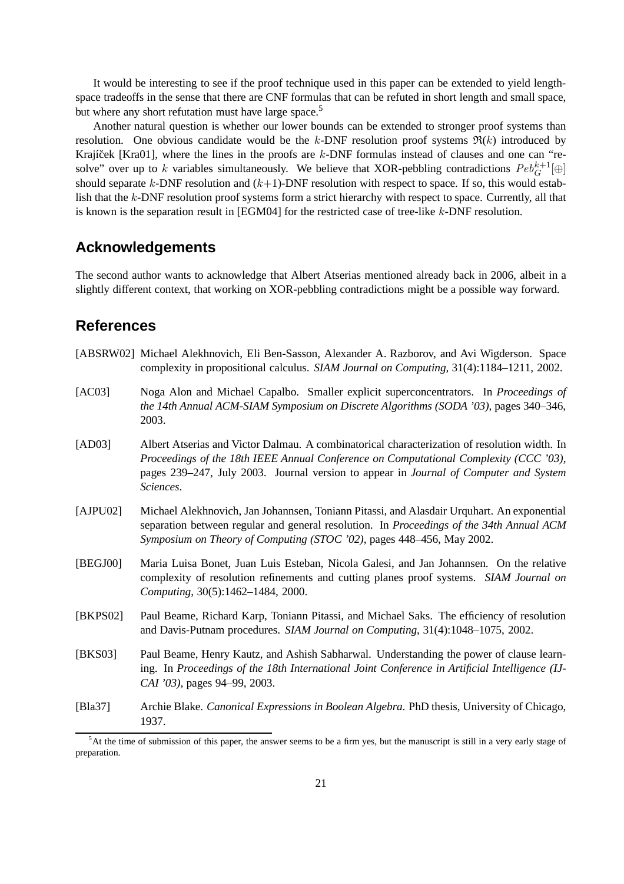It would be interesting to see if the proof technique used in this paper can be extended to yield lengthspace tradeoffs in the sense that there are CNF formulas that can be refuted in short length and small space, but where any short refutation must have large space.<sup>5</sup>

Another natural question is whether our lower bounds can be extended to stronger proof systems than resolution. One obvious candidate would be the k-DNF resolution proof systems  $\Re(k)$  introduced by Krajíček [Kra01], where the lines in the proofs are  $k$ -DNF formulas instead of clauses and one can "resolve" over up to k variables simultaneously. We believe that XOR-pebbling contradictions  $Peb_G^{k+1}[\oplus]$ should separate k-DNF resolution and  $(k+1)$ -DNF resolution with respect to space. If so, this would establish that the k-DNF resolution proof systems form a strict hierarchy with respect to space. Currently, all that is known is the separation result in  $[EGM04]$  for the restricted case of tree-like k-DNF resolution.

### **Acknowledgements**

The second author wants to acknowledge that Albert Atserias mentioned already back in 2006, albeit in a slightly different context, that working on XOR-pebbling contradictions might be a possible way forward.

#### **References**

- [ABSRW02] Michael Alekhnovich, Eli Ben-Sasson, Alexander A. Razborov, and Avi Wigderson. Space complexity in propositional calculus. *SIAM Journal on Computing*, 31(4):1184–1211, 2002.
- [AC03] Noga Alon and Michael Capalbo. Smaller explicit superconcentrators. In *Proceedings of the 14th Annual ACM-SIAM Symposium on Discrete Algorithms (SODA '03)*, pages 340–346, 2003.
- [AD03] Albert Atserias and Victor Dalmau. A combinatorical characterization of resolution width. In *Proceedings of the 18th IEEE Annual Conference on Computational Complexity (CCC '03)*, pages 239–247, July 2003. Journal version to appear in *Journal of Computer and System Sciences*.
- [AJPU02] Michael Alekhnovich, Jan Johannsen, Toniann Pitassi, and Alasdair Urquhart. An exponential separation between regular and general resolution. In *Proceedings of the 34th Annual ACM Symposium on Theory of Computing (STOC '02)*, pages 448–456, May 2002.
- [BEGJ00] Maria Luisa Bonet, Juan Luis Esteban, Nicola Galesi, and Jan Johannsen. On the relative complexity of resolution refinements and cutting planes proof systems. *SIAM Journal on Computing*, 30(5):1462–1484, 2000.
- [BKPS02] Paul Beame, Richard Karp, Toniann Pitassi, and Michael Saks. The efficiency of resolution and Davis-Putnam procedures. *SIAM Journal on Computing*, 31(4):1048–1075, 2002.
- [BKS03] Paul Beame, Henry Kautz, and Ashish Sabharwal. Understanding the power of clause learning. In *Proceedings of the 18th International Joint Conference in Artificial Intelligence (IJ-CAI '03)*, pages 94–99, 2003.
- [Bla37] Archie Blake. *Canonical Expressions in Boolean Algebra*. PhD thesis, University of Chicago, 1937.

<sup>&</sup>lt;sup>5</sup>At the time of submission of this paper, the answer seems to be a firm yes, but the manuscript is still in a very early stage of preparation.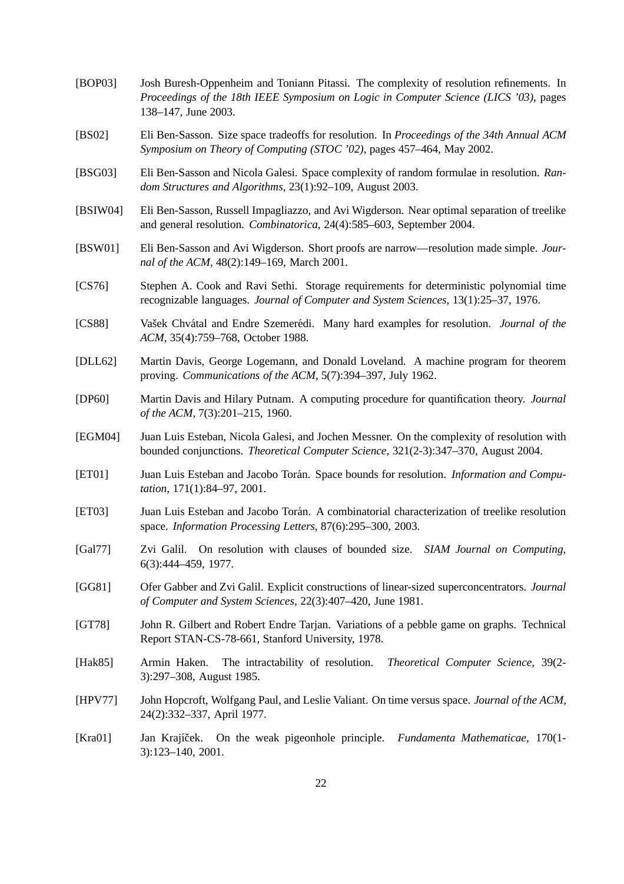- [BOP03] Josh Buresh-Oppenheim and Toniann Pitassi. The complexity of resolution refinements. In *Proceedings of the 18th IEEE Symposium on Logic in Computer Science (LICS '03)*, pages 138–147, June 2003.
- [BS02] Eli Ben-Sasson. Size space tradeoffs for resolution. In *Proceedings of the 34th Annual ACM Symposium on Theory of Computing (STOC '02)*, pages 457–464, May 2002.
- [BSG03] Eli Ben-Sasson and Nicola Galesi. Space complexity of random formulae in resolution. *Random Structures and Algorithms*, 23(1):92–109, August 2003.
- [BSIW04] Eli Ben-Sasson, Russell Impagliazzo, and Avi Wigderson. Near optimal separation of treelike and general resolution. *Combinatorica*, 24(4):585–603, September 2004.
- [BSW01] Eli Ben-Sasson and Avi Wigderson. Short proofs are narrow—resolution made simple. *Journal of the ACM*, 48(2):149–169, March 2001.
- [CS76] Stephen A. Cook and Ravi Sethi. Storage requirements for deterministic polynomial time recognizable languages. *Journal of Computer and System Sciences*, 13(1):25–37, 1976.
- [CS88] Vašek Chvátal and Endre Szemerédi. Many hard examples for resolution. *Journal of the ACM*, 35(4):759–768, October 1988.
- [DLL62] Martin Davis, George Logemann, and Donald Loveland. A machine program for theorem proving. *Communications of the ACM*, 5(7):394–397, July 1962.
- [DP60] Martin Davis and Hilary Putnam. A computing procedure for quantification theory. *Journal of the ACM*, 7(3):201–215, 1960.
- [EGM04] Juan Luis Esteban, Nicola Galesi, and Jochen Messner. On the complexity of resolution with bounded conjunctions. *Theoretical Computer Science*, 321(2-3):347–370, August 2004.
- [ET01] Juan Luis Esteban and Jacobo Torán. Space bounds for resolution. *Information and Computation*, 171(1):84–97, 2001.
- [ET03] Juan Luis Esteban and Jacobo Torán. A combinatorial characterization of treelike resolution space. *Information Processing Letters*, 87(6):295–300, 2003.
- [Gal77] Zvi Galil. On resolution with clauses of bounded size. *SIAM Journal on Computing*, 6(3):444–459, 1977.
- [GG81] Ofer Gabber and Zvi Galil. Explicit constructions of linear-sized superconcentrators. *Journal of Computer and System Sciences*, 22(3):407–420, June 1981.
- [GT78] John R. Gilbert and Robert Endre Tarjan. Variations of a pebble game on graphs. Technical Report STAN-CS-78-661, Stanford University, 1978.
- [Hak85] Armin Haken. The intractability of resolution. *Theoretical Computer Science*, 39(2- 3):297–308, August 1985.
- [HPV77] John Hopcroft, Wolfgang Paul, and Leslie Valiant. On time versus space. *Journal of the ACM*, 24(2):332–337, April 1977.
- [Kra01] Jan Krajíček. On the weak pigeonhole principle. *Fundamenta Mathematicae*, 170(1-3):123–140, 2001.